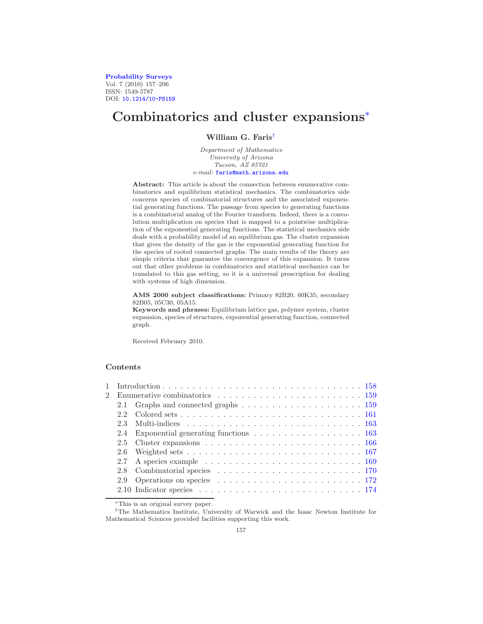[Probability Surveys](http://www.i-journals.org/ps) Vol. 7 (2010) 157–206 ISSN: 1549-5787 DOI: [10.1214/10-PS159](http://dx.doi.org/10.1214/10-PS159)

# Combinatorics and cluster expansions[∗](#page-0-0)

William G. Faris[†](#page-0-1)

Department of Mathematics University of Arizona Tucson, AZ 85721 e-mail: [faris@math.arizona.edu](mailto:faris@math.arizona.edu)

Abstract: This article is about the connection between enumerative combinatorics and equilibrium statistical mechanics. The combinatorics side concerns species of combinatorial structures and the associated exponential generating functions. The passage from species to generating functions is a combinatorial analog of the Fourier transform. Indeed, there is a convolution multiplication on species that is mapped to a pointwise multiplication of the exponential generating functions. The statistical mechanics side deals with a probability model of an equilibrium gas. The cluster expansion that gives the density of the gas is the exponential generating function for the species of rooted connected graphs. The main results of the theory are simple criteria that guarantee the convergence of this expansion. It turns out that other problems in combinatorics and statistical mechanics can be translated to this gas setting, so it is a universal prescription for dealing with systems of high dimension.

AMS 2000 subject classifications: Primary 82B20, 60K35; secondary 82B05, 05C30, 05A15.

Keywords and phrases: Equilibrium lattice gas, polymer system, cluster expansion, species of structures, exponential generating function, connected graph.

Received February 2010.

## Contents

| $\overline{2}$ |     |                                                                                                    |
|----------------|-----|----------------------------------------------------------------------------------------------------|
|                |     |                                                                                                    |
|                |     |                                                                                                    |
|                |     |                                                                                                    |
|                | 2.4 | Exponential generating functions $\ldots \ldots \ldots \ldots \ldots \ldots \ldots 163$            |
|                | 2.5 | Cluster expansions $\ldots \ldots \ldots \ldots \ldots \ldots \ldots \ldots \ldots \ldots 166$     |
|                |     |                                                                                                    |
|                | 2.7 |                                                                                                    |
|                | 2.8 | Combinatorial species $\ldots \ldots \ldots \ldots \ldots \ldots \ldots \ldots 170$                |
|                | 2.9 | Operations on species $\ldots \ldots \ldots \ldots \ldots \ldots \ldots \ldots \ldots 172$         |
|                |     | 2.10 Indicator species $\ldots \ldots \ldots \ldots \ldots \ldots \ldots \ldots \ldots \ldots 174$ |
|                |     |                                                                                                    |

<span id="page-0-1"></span><span id="page-0-0"></span><sup>∗</sup>This is an original survey paper.

†The Mathematics Institute, University of Warwick and the Isaac Newton Institute for Mathematical Sciences provided facilities supporting this work.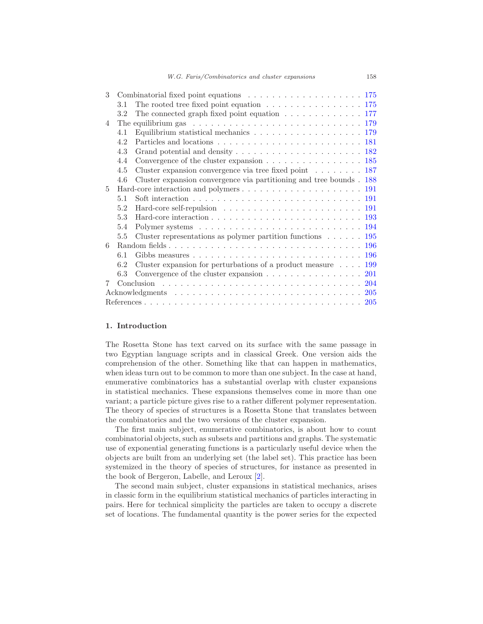| 3              |     | Combinatorial fixed point equations $\ldots \ldots \ldots \ldots \ldots \ldots \ldots 175$             |  |  |  |
|----------------|-----|--------------------------------------------------------------------------------------------------------|--|--|--|
|                |     |                                                                                                        |  |  |  |
|                | 3.1 |                                                                                                        |  |  |  |
|                | 3.2 | The connected graph fixed point equation $\ldots \ldots \ldots \ldots 177$                             |  |  |  |
| $\overline{4}$ |     | The equilibrium gas $\ldots \ldots \ldots \ldots \ldots \ldots \ldots \ldots \ldots \ldots \ldots 179$ |  |  |  |
|                | 4.1 | Equilibrium statistical mechanics $\ldots \ldots \ldots \ldots \ldots \ldots \ldots 179$               |  |  |  |
|                | 4.2 |                                                                                                        |  |  |  |
|                | 4.3 |                                                                                                        |  |  |  |
|                | 4.4 | Convergence of the cluster expansion $\ldots \ldots \ldots \ldots \ldots \ldots 185$                   |  |  |  |
|                | 4.5 | Cluster expansion convergence via tree fixed point $\dots \dots \dots 187$                             |  |  |  |
|                | 4.6 | Cluster expansion convergence via partitioning and tree bounds . $188$                                 |  |  |  |
| 5.             |     |                                                                                                        |  |  |  |
|                | 5.1 |                                                                                                        |  |  |  |
|                | 5.2 | Hard-core self-repulsion $\ldots \ldots \ldots \ldots \ldots \ldots \ldots \ldots \ldots 191$          |  |  |  |
|                | 5.3 |                                                                                                        |  |  |  |
|                | 5.4 |                                                                                                        |  |  |  |
|                | 5.5 | Cluster representations as polymer partition functions $\dots \dots \dots$ 195                         |  |  |  |
| 6              |     |                                                                                                        |  |  |  |
|                | 61  |                                                                                                        |  |  |  |
|                | 6.2 | Cluster expansion for perturbations of a product measure $\ldots$ 199                                  |  |  |  |
|                | 6.3 | Convergence of the cluster expansion $\ldots \ldots \ldots \ldots \ldots 201$                          |  |  |  |
| 7              |     |                                                                                                        |  |  |  |
|                |     |                                                                                                        |  |  |  |
|                |     |                                                                                                        |  |  |  |
|                |     |                                                                                                        |  |  |  |

### <span id="page-1-0"></span>1. Introduction

The Rosetta Stone has text carved on its surface with the same passage in two Egyptian language scripts and in classical Greek. One version aids the comprehension of the other. Something like that can happen in mathematics, when ideas turn out to be common to more than one subject. In the case at hand, enumerative combinatorics has a substantial overlap with cluster expansions in statistical mechanics. These expansions themselves come in more than one variant; a particle picture gives rise to a rather different polymer representation. The theory of species of structures is a Rosetta Stone that translates between the combinatorics and the two versions of the cluster expansion.

The first main subject, enumerative combinatorics, is about how to count combinatorial objects, such as subsets and partitions and graphs. The systematic use of exponential generating functions is a particularly useful device when the objects are built from an underlying set (the label set). This practice has been systemized in the theory of species of structures, for instance as presented in the book of Bergeron, Labelle, and Leroux [\[2\]](#page-48-2).

The second main subject, cluster expansions in statistical mechanics, arises in classic form in the equilibrium statistical mechanics of particles interacting in pairs. Here for technical simplicity the particles are taken to occupy a discrete set of locations. The fundamental quantity is the power series for the expected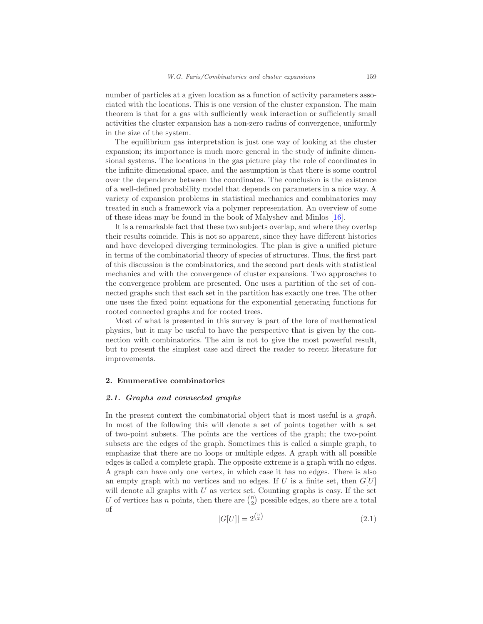number of particles at a given location as a function of activity parameters associated with the locations. This is one version of the cluster expansion. The main theorem is that for a gas with sufficiently weak interaction or sufficiently small activities the cluster expansion has a non-zero radius of convergence, uniformly in the size of the system.

The equilibrium gas interpretation is just one way of looking at the cluster expansion; its importance is much more general in the study of infinite dimensional systems. The locations in the gas picture play the role of coordinates in the infinite dimensional space, and the assumption is that there is some control over the dependence between the coordinates. The conclusion is the existence of a well-defined probability model that depends on parameters in a nice way. A variety of expansion problems in statistical mechanics and combinatorics may treated in such a framework via a polymer representation. An overview of some of these ideas may be found in the book of Malyshev and Minlos [\[16\]](#page-49-0).

It is a remarkable fact that these two subjects overlap, and where they overlap their results coincide. This is not so apparent, since they have different histories and have developed diverging terminologies. The plan is give a unified picture in terms of the combinatorial theory of species of structures. Thus, the first part of this discussion is the combinatorics, and the second part deals with statistical mechanics and with the convergence of cluster expansions. Two approaches to the convergence problem are presented. One uses a partition of the set of connected graphs such that each set in the partition has exactly one tree. The other one uses the fixed point equations for the exponential generating functions for rooted connected graphs and for rooted trees.

Most of what is presented in this survey is part of the lore of mathematical physics, but it may be useful to have the perspective that is given by the connection with combinatorics. The aim is not to give the most powerful result, but to present the simplest case and direct the reader to recent literature for improvements.

# <span id="page-2-1"></span><span id="page-2-0"></span>2. Enumerative combinatorics

#### 2.1. Graphs and connected graphs

In the present context the combinatorial object that is most useful is a *graph*. In most of the following this will denote a set of points together with a set of two-point subsets. The points are the vertices of the graph; the two-point subsets are the edges of the graph. Sometimes this is called a simple graph, to emphasize that there are no loops or multiple edges. A graph with all possible edges is called a complete graph. The opposite extreme is a graph with no edges. A graph can have only one vertex, in which case it has no edges. There is also an empty graph with no vertices and no edges. If U is a finite set, then  $G[U]$ will denote all graphs with  $U$  as vertex set. Counting graphs is easy. If the set U of vertices has n points, then there are  $\binom{n}{2}$  possible edges, so there are a total of

$$
|G[U]| = 2^{\binom{n}{2}} \tag{2.1}
$$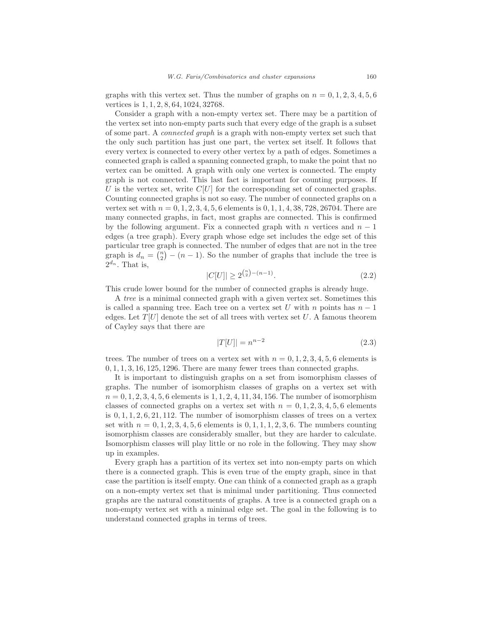graphs with this vertex set. Thus the number of graphs on  $n = 0, 1, 2, 3, 4, 5, 6$ vertices is 1, 1, 2, 8, 64, 1024, 32768.

Consider a graph with a non-empty vertex set. There may be a partition of the vertex set into non-empty parts such that every edge of the graph is a subset of some part. A connected graph is a graph with non-empty vertex set such that the only such partition has just one part, the vertex set itself. It follows that every vertex is connected to every other vertex by a path of edges. Sometimes a connected graph is called a spanning connected graph, to make the point that no vertex can be omitted. A graph with only one vertex is connected. The empty graph is not connected. This last fact is important for counting purposes. If U is the vertex set, write  $C[U]$  for the corresponding set of connected graphs. Counting connected graphs is not so easy. The number of connected graphs on a vertex set with  $n = 0, 1, 2, 3, 4, 5, 6$  elements is  $0, 1, 1, 4, 38, 728, 26704$ . There are many connected graphs, in fact, most graphs are connected. This is confirmed by the following argument. Fix a connected graph with n vertices and  $n-1$ edges (a tree graph). Every graph whose edge set includes the edge set of this particular tree graph is connected. The number of edges that are not in the tree graph is  $d_n = \binom{n}{2} - (n-1)$ . So the number of graphs that include the tree is  $2^{d_n}$ . That is,

$$
|C[U]| \ge 2^{\binom{n}{2} - (n-1)}.
$$
\n(2.2)

This crude lower bound for the number of connected graphs is already huge.

A tree is a minimal connected graph with a given vertex set. Sometimes this is called a spanning tree. Each tree on a vertex set U with n points has  $n-1$ edges. Let  $T[U]$  denote the set of all trees with vertex set U. A famous theorem of Cayley says that there are

$$
|T[U]| = n^{n-2} \tag{2.3}
$$

trees. The number of trees on a vertex set with  $n = 0, 1, 2, 3, 4, 5, 6$  elements is 0, 1, 1, 3, 16, 125, 1296. There are many fewer trees than connected graphs.

It is important to distinguish graphs on a set from isomorphism classes of graphs. The number of isomorphism classes of graphs on a vertex set with  $n = 0, 1, 2, 3, 4, 5, 6$  elements is  $1, 1, 2, 4, 11, 34, 156$ . The number of isomorphism classes of connected graphs on a vertex set with  $n = 0, 1, 2, 3, 4, 5, 6$  elements is  $0, 1, 1, 2, 6, 21, 112$ . The number of isomorphism classes of trees on a vertex set with  $n = 0, 1, 2, 3, 4, 5, 6$  elements is  $0, 1, 1, 1, 2, 3, 6$ . The numbers counting isomorphism classes are considerably smaller, but they are harder to calculate. Isomorphism classes will play little or no role in the following. They may show up in examples.

Every graph has a partition of its vertex set into non-empty parts on which there is a connected graph. This is even true of the empty graph, since in that case the partition is itself empty. One can think of a connected graph as a graph on a non-empty vertex set that is minimal under partitioning. Thus connected graphs are the natural constituents of graphs. A tree is a connected graph on a non-empty vertex set with a minimal edge set. The goal in the following is to understand connected graphs in terms of trees.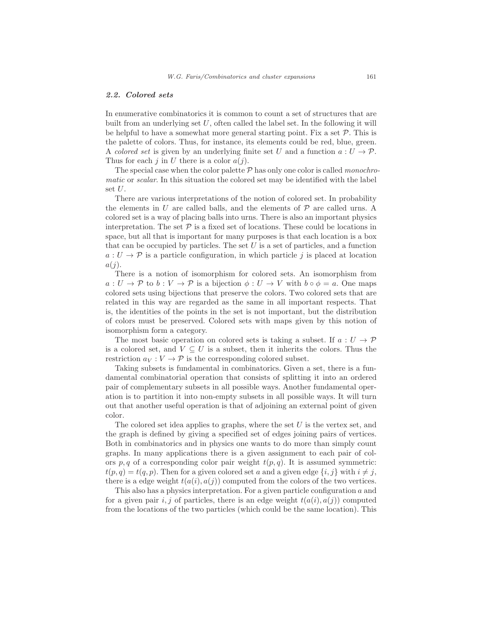### <span id="page-4-0"></span>2.2. Colored sets

In enumerative combinatorics it is common to count a set of structures that are built from an underlying set  $U$ , often called the label set. In the following it will be helpful to have a somewhat more general starting point. Fix a set  $P$ . This is the palette of colors. Thus, for instance, its elements could be red, blue, green. A colored set is given by an underlying finite set U and a function  $a: U \to \mathcal{P}$ . Thus for each j in U there is a color  $a(j)$ .

The special case when the color palette  $\mathcal P$  has only one color is called *monochro*matic or scalar. In this situation the colored set may be identified with the label set U.

There are various interpretations of the notion of colored set. In probability the elements in U are called balls, and the elements of  $P$  are called urns. A colored set is a way of placing balls into urns. There is also an important physics interpretation. The set  $P$  is a fixed set of locations. These could be locations in space, but all that is important for many purposes is that each location is a box that can be occupied by particles. The set  $U$  is a set of particles, and a function  $a: U \to \mathcal{P}$  is a particle configuration, in which particle j is placed at location  $a(i)$ .

There is a notion of isomorphism for colored sets. An isomorphism from  $a: U \to \mathcal{P}$  to  $b: V \to \mathcal{P}$  is a bijection  $\phi: U \to V$  with  $b \circ \phi = a$ . One maps colored sets using bijections that preserve the colors. Two colored sets that are related in this way are regarded as the same in all important respects. That is, the identities of the points in the set is not important, but the distribution of colors must be preserved. Colored sets with maps given by this notion of isomorphism form a category.

The most basic operation on colored sets is taking a subset. If  $a: U \rightarrow \mathcal{P}$ is a colored set, and  $V \subseteq U$  is a subset, then it inherits the colors. Thus the restriction  $a_V : V \to \mathcal{P}$  is the corresponding colored subset.

Taking subsets is fundamental in combinatorics. Given a set, there is a fundamental combinatorial operation that consists of splitting it into an ordered pair of complementary subsets in all possible ways. Another fundamental operation is to partition it into non-empty subsets in all possible ways. It will turn out that another useful operation is that of adjoining an external point of given color.

The colored set idea applies to graphs, where the set  $U$  is the vertex set, and the graph is defined by giving a specified set of edges joining pairs of vertices. Both in combinatorics and in physics one wants to do more than simply count graphs. In many applications there is a given assignment to each pair of colors  $p, q$  of a corresponding color pair weight  $t(p, q)$ . It is assumed symmetric:  $t(p,q) = t(q,p)$ . Then for a given colored set a and a given edge  $\{i, j\}$  with  $i \neq j$ , there is a edge weight  $t(a(i), a(j))$  computed from the colors of the two vertices.

This also has a physics interpretation. For a given particle configuration a and for a given pair i, j of particles, there is an edge weight  $t(a(i), a(j))$  computed from the locations of the two particles (which could be the same location). This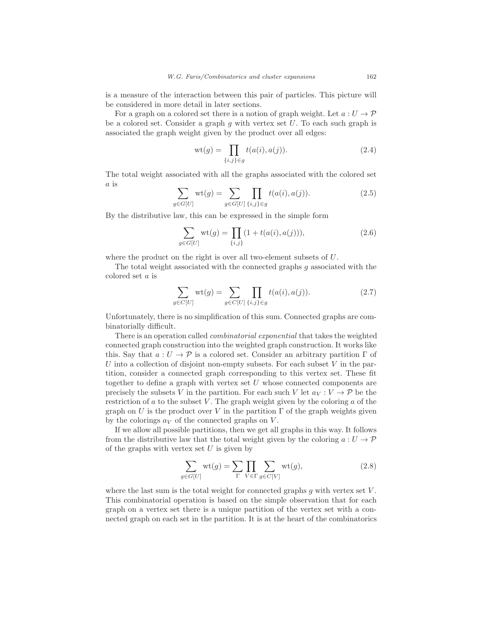is a measure of the interaction between this pair of particles. This picture will be considered in more detail in later sections.

For a graph on a colored set there is a notion of graph weight. Let  $a: U \to \mathcal{P}$ be a colored set. Consider a graph  $g$  with vertex set  $U$ . To each such graph is associated the graph weight given by the product over all edges:

$$
wt(g) = \prod_{\{i,j\} \in g} t(a(i), a(j)).
$$
\n(2.4)

The total weight associated with all the graphs associated with the colored set a is

$$
\sum_{g \in G[U]} \text{wt}(g) = \sum_{g \in G[U]} \prod_{\{i,j\} \in g} t(a(i), a(j)). \tag{2.5}
$$

By the distributive law, this can be expressed in the simple form

$$
\sum_{g \in G[U]} \text{wt}(g) = \prod_{\{i,j\}} (1 + t(a(i), a(j))), \tag{2.6}
$$

where the product on the right is over all two-element subsets of U.

The total weight associated with the connected graphs  $g$  associated with the colored set a is

$$
\sum_{g \in C[U]} \text{wt}(g) = \sum_{g \in C[U]} \prod_{\{i,j\} \in g} t(a(i), a(j)). \tag{2.7}
$$

Unfortunately, there is no simplification of this sum. Connected graphs are combinatorially difficult.

There is an operation called combinatorial exponential that takes the weighted connected graph construction into the weighted graph construction. It works like this. Say that  $a: U \to \mathcal{P}$  is a colored set. Consider an arbitrary partition  $\Gamma$  of U into a collection of disjoint non-empty subsets. For each subset  $V$  in the partition, consider a connected graph corresponding to this vertex set. These fit together to define a graph with vertex set U whose connected components are precisely the subsets V in the partition. For each such V let  $a_V : V \to \mathcal{P}$  be the restriction of a to the subset V. The graph weight given by the coloring  $\alpha$  of the graph on U is the product over V in the partition  $\Gamma$  of the graph weights given by the colorings  $a_V$  of the connected graphs on  $V$ .

If we allow all possible partitions, then we get all graphs in this way. It follows from the distributive law that the total weight given by the coloring  $a: U \to \mathcal{P}$ of the graphs with vertex set  $U$  is given by

$$
\sum_{g \in G[U]} \text{wt}(g) = \sum_{\Gamma} \prod_{V \in \Gamma} \sum_{g \in C[V]} \text{wt}(g),\tag{2.8}
$$

where the last sum is the total weight for connected graphs  $q$  with vertex set  $V$ . This combinatorial operation is based on the simple observation that for each graph on a vertex set there is a unique partition of the vertex set with a connected graph on each set in the partition. It is at the heart of the combinatorics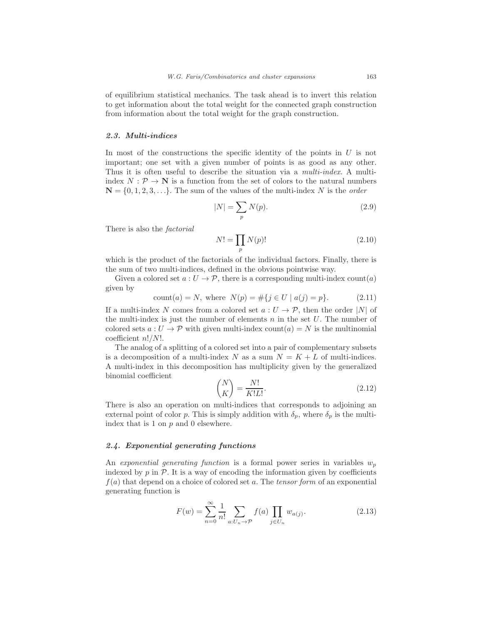of equilibrium statistical mechanics. The task ahead is to invert this relation to get information about the total weight for the connected graph construction from information about the total weight for the graph construction.

#### <span id="page-6-0"></span>2.3. Multi-indices

In most of the constructions the specific identity of the points in  $U$  is not important; one set with a given number of points is as good as any other. Thus it is often useful to describe the situation via a *multi-index*. A multiindex  $N : \mathcal{P} \to \mathbb{N}$  is a function from the set of colors to the natural numbers  $N = \{0, 1, 2, 3, \ldots\}$ . The sum of the values of the multi-index N is the *order* 

$$
|N| = \sum_{p} N(p). \tag{2.9}
$$

There is also the factorial

$$
N! = \prod_{p} N(p)!
$$
 (2.10)

which is the product of the factorials of the individual factors. Finally, there is the sum of two multi-indices, defined in the obvious pointwise way.

Given a colored set  $a: U \to \mathcal{P}$ , there is a corresponding multi-index count(a) given by

count(a) = N, where 
$$
N(p) = #\{j \in U \mid a(j) = p\}.
$$
 (2.11)

If a multi-index N comes from a colored set  $a: U \to \mathcal{P}$ , then the order |N| of the multi-index is just the number of elements  $n$  in the set  $U$ . The number of colored sets  $a: U \to \mathcal{P}$  with given multi-index count $(a) = N$  is the multinomial coefficient n!/N!.

The analog of a splitting of a colored set into a pair of complementary subsets is a decomposition of a multi-index N as a sum  $N = K + L$  of multi-indices. A multi-index in this decomposition has multiplicity given by the generalized binomial coefficient

$$
\binom{N}{K} = \frac{N!}{K!L!}.\tag{2.12}
$$

There is also an operation on multi-indices that corresponds to adjoining an external point of color p. This is simply addition with  $\delta_p$ , where  $\delta_p$  is the multiindex that is 1 on  $p$  and 0 elsewhere.

#### <span id="page-6-1"></span>2.4. Exponential generating functions

An exponential generating function is a formal power series in variables  $w_p$ indexed by  $p$  in  $P$ . It is a way of encoding the information given by coefficients  $f(a)$  that depend on a choice of colored set a. The tensor form of an exponential generating function is

$$
F(w) = \sum_{n=0}^{\infty} \frac{1}{n!} \sum_{a:U_n \to \mathcal{P}} f(a) \prod_{j \in U_n} w_{a(j)}.
$$
 (2.13)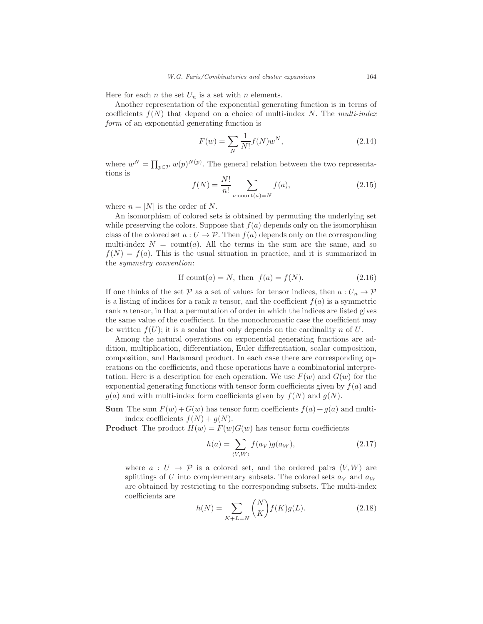Here for each n the set  $U_n$  is a set with n elements.

Another representation of the exponential generating function is in terms of coefficients  $f(N)$  that depend on a choice of multi-index N. The multi-index form of an exponential generating function is

$$
F(w) = \sum_{N} \frac{1}{N!} f(N) w^{N},
$$
\n(2.14)

where  $w^N = \prod_{p \in \mathcal{P}} w(p)^{N(p)}$ . The general relation between the two representations is

$$
f(N) = \frac{N!}{n!} \sum_{a:\text{count}(a)=N} f(a),\tag{2.15}
$$

where  $n = |N|$  is the order of N.

An isomorphism of colored sets is obtained by permuting the underlying set while preserving the colors. Suppose that  $f(a)$  depends only on the isomorphism class of the colored set  $a: U \to \mathcal{P}$ . Then  $f(a)$  depends only on the corresponding multi-index  $N = \text{count}(a)$ . All the terms in the sum are the same, and so  $f(N) = f(a)$ . This is the usual situation in practice, and it is summarized in the symmetry convention:

If 
$$
count(a) = N
$$
, then  $f(a) = f(N)$ . (2.16)

If one thinks of the set  $P$  as a set of values for tensor indices, then  $a: U_n \to P$ is a listing of indices for a rank n tensor, and the coefficient  $f(a)$  is a symmetric rank *n* tensor, in that a permutation of order in which the indices are listed gives the same value of the coefficient. In the monochromatic case the coefficient may be written  $f(U)$ ; it is a scalar that only depends on the cardinality n of U.

Among the natural operations on exponential generating functions are addition, multiplication, differentiation, Euler differentiation, scalar composition, composition, and Hadamard product. In each case there are corresponding operations on the coefficients, and these operations have a combinatorial interpretation. Here is a description for each operation. We use  $F(w)$  and  $G(w)$  for the exponential generating functions with tensor form coefficients given by  $f(a)$  and  $q(a)$  and with multi-index form coefficients given by  $f(N)$  and  $q(N)$ .

**Sum** The sum  $F(w) + G(w)$  has tensor form coefficients  $f(a) + g(a)$  and multiindex coefficients  $f(N) + g(N)$ .

**Product** The product  $H(w) = F(w)G(w)$  has tensor form coefficients

$$
h(a) = \sum_{\langle V, W \rangle} f(a_V) g(a_W), \qquad (2.17)
$$

where  $a: U \rightarrow \mathcal{P}$  is a colored set, and the ordered pairs  $\langle V, W \rangle$  are splittings of U into complementary subsets. The colored sets  $a_V$  and  $a_W$ are obtained by restricting to the corresponding subsets. The multi-index coefficients are

$$
h(N) = \sum_{K+L=N} {N \choose K} f(K)g(L).
$$
 (2.18)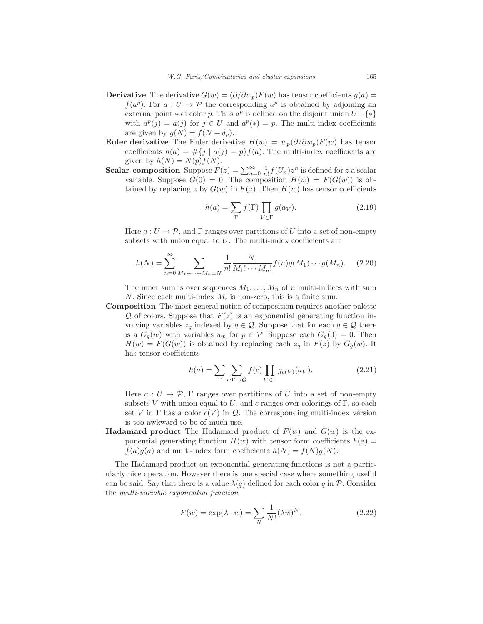- **Derivative** The derivative  $G(w) = (\partial/\partial w_v)F(w)$  has tensor coefficients  $g(a)$  $f(a^p)$ . For  $a: U \to \mathcal{P}$  the corresponding  $a^p$  is obtained by adjoining an external point  $*$  of color p. Thus  $a^p$  is defined on the disjoint union  $U + \{*\}$ with  $a^p(j) = a(j)$  for  $j \in U$  and  $a^p(*) = p$ . The multi-index coefficients are given by  $g(N) = f(N + \delta_p)$ .
- Euler derivative The Euler derivative  $H(w) = w_p(\partial/\partial w_p)F(w)$  has tensor coefficients  $h(a) = \#\{j \mid a(j) = p\} f(a)$ . The multi-index coefficients are given by  $h(N) = N(p)f(N)$ .
- **Scalar composition** Suppose  $F(z) = \sum_{n=0}^{\infty} \frac{1}{n!} f(U_n) z^n$  is defined for z a scalar variable. Suppose  $G(0) = 0$ . The composition  $H(w) = F(G(w))$  is obtained by replacing z by  $G(w)$  in  $F(z)$ . Then  $H(w)$  has tensor coefficients

$$
h(a) = \sum_{\Gamma} f(\Gamma) \prod_{V \in \Gamma} g(a_V).
$$
 (2.19)

Here  $a: U \to \mathcal{P}$ , and  $\Gamma$  ranges over partitions of U into a set of non-empty subsets with union equal to  $U$ . The multi-index coefficients are

$$
h(N) = \sum_{n=0}^{\infty} \sum_{M_1 + \dots + M_n = N} \frac{1}{n!} \frac{N!}{M_1! \cdots M_n!} f(n) g(M_1) \cdots g(M_n).
$$
 (2.20)

The inner sum is over sequences  $M_1, \ldots, M_n$  of n multi-indices with sum N. Since each multi-index  $M_i$  is non-zero, this is a finite sum.

Composition The most general notion of composition requires another palette  $\mathcal Q$  of colors. Suppose that  $F(z)$  is an exponential generating function involving variables  $z_q$  indexed by  $q \in \mathcal{Q}$ . Suppose that for each  $q \in \mathcal{Q}$  there is a  $G_q(w)$  with variables  $w_p$  for  $p \in \mathcal{P}$ . Suppose each  $G_q(0) = 0$ . Then  $H(w) = F(G(w))$  is obtained by replacing each  $z_q$  in  $F(z)$  by  $G_q(w)$ . It has tensor coefficients

$$
h(a) = \sum_{\Gamma} \sum_{c:\Gamma \to \mathcal{Q}} f(c) \prod_{V \in \Gamma} g_{c(V)}(a_V). \tag{2.21}
$$

Here  $a: U \to \mathcal{P}$ ,  $\Gamma$  ranges over partitions of U into a set of non-empty subsets V with union equal to U, and c ranges over colorings of  $\Gamma$ , so each set V in  $\Gamma$  has a color  $c(V)$  in  $\mathcal{Q}$ . The corresponding multi-index version is too awkward to be of much use.

**Hadamard product** The Hadamard product of  $F(w)$  and  $G(w)$  is the exponential generating function  $H(w)$  with tensor form coefficients  $h(a) =$  $f(a)g(a)$  and multi-index form coefficients  $h(N) = f(N)g(N)$ .

The Hadamard product on exponential generating functions is not a particularly nice operation. However there is one special case where something useful can be said. Say that there is a value  $\lambda(q)$  defined for each color q in P. Consider the multi-variable exponential function

$$
F(w) = \exp(\lambda \cdot w) = \sum_{N} \frac{1}{N!} (\lambda w)^N.
$$
 (2.22)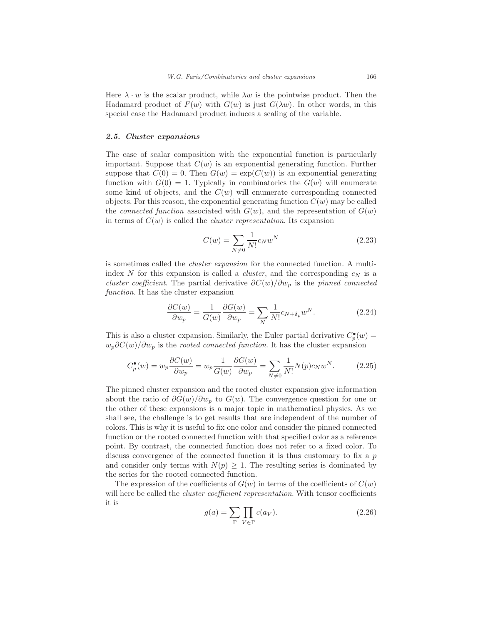Here  $\lambda \cdot w$  is the scalar product, while  $\lambda w$  is the pointwise product. Then the Hadamard product of  $F(w)$  with  $G(w)$  is just  $G(\lambda w)$ . In other words, in this special case the Hadamard product induces a scaling of the variable.

#### <span id="page-9-0"></span>2.5. Cluster expansions

The case of scalar composition with the exponential function is particularly important. Suppose that  $C(w)$  is an exponential generating function. Further suppose that  $C(0) = 0$ . Then  $G(w) = \exp(C(w))$  is an exponential generating function with  $G(0) = 1$ . Typically in combinatorics the  $G(w)$  will enumerate some kind of objects, and the  $C(w)$  will enumerate corresponding connected objects. For this reason, the exponential generating function  $C(w)$  may be called the *connected function* associated with  $G(w)$ , and the representation of  $G(w)$ in terms of  $C(w)$  is called the *cluster representation*. Its expansion

$$
C(w) = \sum_{N \neq 0} \frac{1}{N!} c_N w^N
$$
\n(2.23)

is sometimes called the cluster expansion for the connected function. A multiindex N for this expansion is called a *cluster*, and the corresponding  $c_N$  is a cluster coefficient. The partial derivative  $\partial C(w)/\partial w_p$  is the pinned connected function. It has the cluster expansion

$$
\frac{\partial C(w)}{\partial w_p} = \frac{1}{G(w)} \frac{\partial G(w)}{\partial w_p} = \sum_N \frac{1}{N!} c_{N+\delta_p} w^N.
$$
\n(2.24)

This is also a cluster expansion. Similarly, the Euler partial derivative  $C_p^{\bullet}(w)$  =  $w_p\partial C(w)/\partial w_p$  is the *rooted connected function*. It has the cluster expansion

$$
C_p^{\bullet}(w) = w_p \frac{\partial C(w)}{\partial w_p} = w_p \frac{1}{G(w)} \frac{\partial G(w)}{\partial w_p} = \sum_{N \neq 0} \frac{1}{N!} N(p) c_N w^N.
$$
 (2.25)

The pinned cluster expansion and the rooted cluster expansion give information about the ratio of  $\partial G(w)/\partial w_p$  to  $G(w)$ . The convergence question for one or the other of these expansions is a major topic in mathematical physics. As we shall see, the challenge is to get results that are independent of the number of colors. This is why it is useful to fix one color and consider the pinned connected function or the rooted connected function with that specified color as a reference point. By contrast, the connected function does not refer to a fixed color. To discuss convergence of the connected function it is thus customary to fix a  $p$ and consider only terms with  $N(p) \geq 1$ . The resulting series is dominated by the series for the rooted connected function.

The expression of the coefficients of  $G(w)$  in terms of the coefficients of  $C(w)$ will here be called the *cluster coefficient representation*. With tensor coefficients it is

$$
g(a) = \sum_{\Gamma} \prod_{V \in \Gamma} c(a_V). \tag{2.26}
$$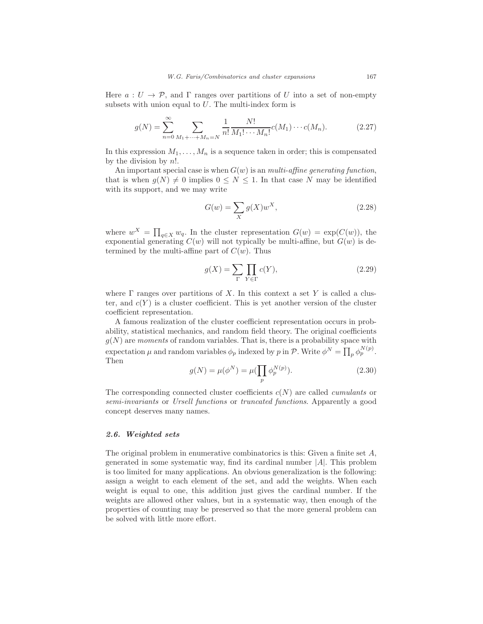Here  $a: U \to \mathcal{P}$ , and  $\Gamma$  ranges over partitions of U into a set of non-empty subsets with union equal to  $U$ . The multi-index form is

$$
g(N) = \sum_{n=0}^{\infty} \sum_{M_1 + \dots + M_n = N} \frac{1}{n!} \frac{N!}{M_1! \cdots M_n!} c(M_1) \cdots c(M_n).
$$
 (2.27)

In this expression  $M_1, \ldots, M_n$  is a sequence taken in order; this is compensated by the division by  $n!$ .

An important special case is when  $G(w)$  is an *multi-affine generating function*, that is when  $g(N) \neq 0$  implies  $0 \leq N \leq 1$ . In that case N may be identified with its support, and we may write

$$
G(w) = \sum_{X} g(X)w^X,
$$
\n(2.28)

where  $w^X = \prod_{q \in X} w_q$ . In the cluster representation  $G(w) = \exp(C(w))$ , the exponential generating  $C(w)$  will not typically be multi-affine, but  $G(w)$  is determined by the multi-affine part of  $C(w)$ . Thus

$$
g(X) = \sum_{\Gamma} \prod_{Y \in \Gamma} c(Y),\tag{2.29}
$$

where  $\Gamma$  ranges over partitions of X. In this context a set Y is called a cluster, and  $c(Y)$  is a cluster coefficient. This is yet another version of the cluster coefficient representation.

A famous realization of the cluster coefficient representation occurs in probability, statistical mechanics, and random field theory. The original coefficients  $g(N)$  are moments of random variables. That is, there is a probability space with expectation  $\mu$  and random variables  $\phi_p$  indexed by p in P. Write  $\phi^N = \prod_p \phi_p^{N(p)}$ . Then

$$
g(N) = \mu(\phi^N) = \mu(\prod_p \phi_p^{N(p)}).
$$
 (2.30)

The corresponding connected cluster coefficients  $c(N)$  are called *cumulants* or semi-invariants or Ursell functions or truncated functions. Apparently a good concept deserves many names.

#### <span id="page-10-0"></span>2.6. Weighted sets

The original problem in enumerative combinatorics is this: Given a finite set A, generated in some systematic way, find its cardinal number  $|A|$ . This problem is too limited for many applications. An obvious generalization is the following: assign a weight to each element of the set, and add the weights. When each weight is equal to one, this addition just gives the cardinal number. If the weights are allowed other values, but in a systematic way, then enough of the properties of counting may be preserved so that the more general problem can be solved with little more effort.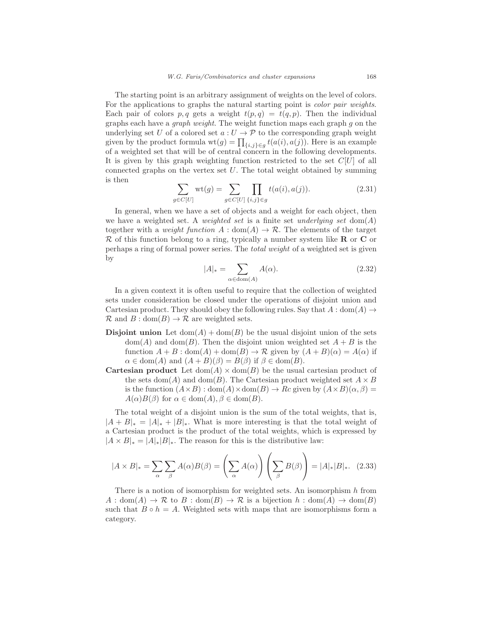The starting point is an arbitrary assignment of weights on the level of colors. For the applications to graphs the natural starting point is color pair weights. Each pair of colors p, q gets a weight  $t(p,q) = t(q,p)$ . Then the individual graphs each have a *graph weight*. The weight function maps each graph  $q$  on the underlying set U of a colored set  $a: U \to \mathcal{P}$  to the corresponding graph weight given by the product formula  $\mathrm{wt}(g) = \prod_{\{i,j\} \in g} t(a(i), a(j))$ . Here is an example of a weighted set that will be of central concern in the following developments. It is given by this graph weighting function restricted to the set  $C[U]$  of all connected graphs on the vertex set  $U$ . The total weight obtained by summing is then

$$
\sum_{g \in C[U]} \text{wt}(g) = \sum_{g \in C[U]} \prod_{\{i,j\} \in g} t(a(i), a(j)). \tag{2.31}
$$

In general, when we have a set of objects and a weight for each object, then we have a weighted set. A *weighted set* is a finite set *underlying set* dom( $A$ ) together with a *weight function*  $A: dom(A) \rightarrow \mathcal{R}$ . The elements of the target  $\mathcal R$  of this function belong to a ring, typically a number system like **R** or **C** or perhaps a ring of formal power series. The total weight of a weighted set is given by

$$
|A|_* = \sum_{\alpha \in \text{dom}(A)} A(\alpha). \tag{2.32}
$$

In a given context it is often useful to require that the collection of weighted sets under consideration be closed under the operations of disjoint union and Cartesian product. They should obey the following rules. Say that  $A : dom(A) \rightarrow$  $\mathcal R$  and  $B : \text{dom}(B) \to \mathcal R$  are weighted sets.

- **Disjoint union** Let  $dom(A) + dom(B)$  be the usual disjoint union of the sets  $dom(A)$  and  $dom(B)$ . Then the disjoint union weighted set  $A + B$  is the function  $A + B$ : dom $(A) + \text{dom}(B) \rightarrow \mathcal{R}$  given by  $(A + B)(\alpha) = A(\alpha)$  if  $\alpha \in \text{dom}(A)$  and  $(A + B)(\beta) = B(\beta)$  if  $\beta \in \text{dom}(B)$ .
- **Cartesian product** Let  $dom(A) \times dom(B)$  be the usual cartesian product of the sets dom(A) and dom(B). The Cartesian product weighted set  $A \times B$ is the function  $(A \times B)$ : dom $(A) \times$ dom $(B) \rightarrow Re$  given by  $(A \times B)(\alpha, \beta) =$  $A(\alpha)B(\beta)$  for  $\alpha \in \text{dom}(A), \beta \in \text{dom}(B)$ .

The total weight of a disjoint union is the sum of the total weights, that is,  $|A + B|_* = |A|_* + |B|_*$ . What is more interesting is that the total weight of a Cartesian product is the product of the total weights, which is expressed by  $|A \times B|_* = |A|_* |B|_*$ . The reason for this is the distributive law:

$$
|A \times B|_* = \sum_{\alpha} \sum_{\beta} A(\alpha)B(\beta) = \left(\sum_{\alpha} A(\alpha)\right) \left(\sum_{\beta} B(\beta)\right) = |A|_*|B|_*.
$$
 (2.33)

There is a notion of isomorphism for weighted sets. An isomorphism  $h$  from  $A: dom(A) \to \mathcal{R}$  to  $B: dom(B) \to \mathcal{R}$  is a bijection  $h: dom(A) \to dom(B)$ such that  $B \circ h = A$ . Weighted sets with maps that are isomorphisms form a category.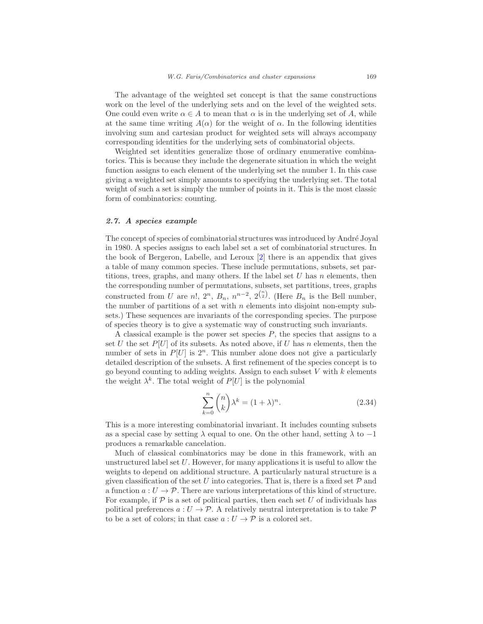The advantage of the weighted set concept is that the same constructions work on the level of the underlying sets and on the level of the weighted sets. One could even write  $\alpha \in A$  to mean that  $\alpha$  is in the underlying set of A, while at the same time writing  $A(\alpha)$  for the weight of  $\alpha$ . In the following identities involving sum and cartesian product for weighted sets will always accompany corresponding identities for the underlying sets of combinatorial objects.

Weighted set identities generalize those of ordinary enumerative combinatorics. This is because they include the degenerate situation in which the weight function assigns to each element of the underlying set the number 1. In this case giving a weighted set simply amounts to specifying the underlying set. The total weight of such a set is simply the number of points in it. This is the most classic form of combinatorics: counting.

## <span id="page-12-0"></span>2.7. A species example

The concept of species of combinatorial structures was introduced by André Joyal in 1980. A species assigns to each label set a set of combinatorial structures. In the book of Bergeron, Labelle, and Leroux [\[2\]](#page-48-2) there is an appendix that gives a table of many common species. These include permutations, subsets, set partitions, trees, graphs, and many others. If the label set  $U$  has  $n$  elements, then the corresponding number of permutations, subsets, set partitions, trees, graphs constructed from U are n!,  $2^n$ ,  $B_n$ ,  $n^{n-2}$ ,  $2^{n \choose 2}$ . (Here  $B_n$  is the Bell number, the number of partitions of a set with  $n$  elements into disjoint non-empty subsets.) These sequences are invariants of the corresponding species. The purpose of species theory is to give a systematic way of constructing such invariants.

A classical example is the power set species  $P$ , the species that assigns to a set U the set  $P[U]$  of its subsets. As noted above, if U has n elements, then the number of sets in  $P[U]$  is  $2^n$ . This number alone does not give a particularly detailed description of the subsets. A first refinement of the species concept is to go beyond counting to adding weights. Assign to each subset  $V$  with  $k$  elements the weight  $\lambda^k$ . The total weight of  $P[U]$  is the polynomial

$$
\sum_{k=0}^{n} \binom{n}{k} \lambda^k = (1+\lambda)^n.
$$
\n(2.34)

This is a more interesting combinatorial invariant. It includes counting subsets as a special case by setting  $\lambda$  equal to one. On the other hand, setting  $\lambda$  to  $-1$ produces a remarkable cancelation.

Much of classical combinatorics may be done in this framework, with an unstructured label set  $U$ . However, for many applications it is useful to allow the weights to depend on additional structure. A particularly natural structure is a given classification of the set U into categories. That is, there is a fixed set  $P$  and a function  $a: U \to \mathcal{P}$ . There are various interpretations of this kind of structure. For example, if  $\mathcal P$  is a set of political parties, then each set U of individuals has political preferences  $a: U \to \mathcal{P}$ . A relatively neutral interpretation is to take  $\mathcal{P}$ to be a set of colors; in that case  $a: U \to \mathcal{P}$  is a colored set.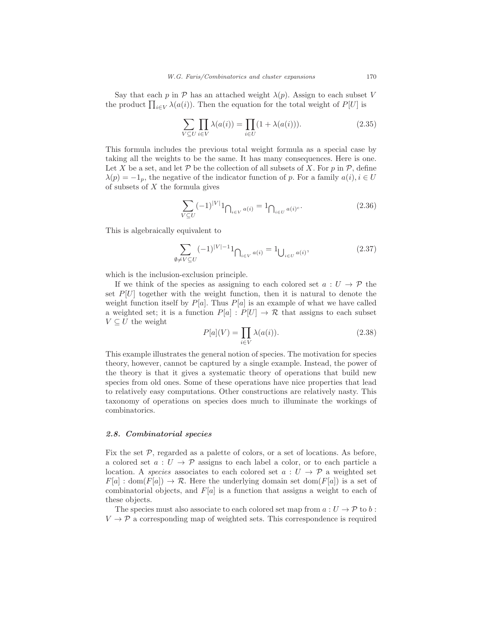Say that each p in  $P$  has an attached weight  $\lambda(p)$ . Assign to each subset V the product  $\prod_{i\in V} \lambda(a(i))$ . Then the equation for the total weight of  $P[U]$  is

$$
\sum_{V \subseteq U} \prod_{i \in V} \lambda(a(i)) = \prod_{i \in U} (1 + \lambda(a(i))). \tag{2.35}
$$

This formula includes the previous total weight formula as a special case by taking all the weights to be the same. It has many consequences. Here is one. Let X be a set, and let P be the collection of all subsets of X. For  $p$  in P, define  $\lambda(p) = -1_p$ , the negative of the indicator function of p. For a family  $a(i), i \in U$ of subsets of  $X$  the formula gives

$$
\sum_{V \subseteq U} (-1)^{|V|} 1 \bigcap_{i \in V} a(i)} = 1 \bigcap_{i \in U} a(i)^c \tag{2.36}
$$

This is algebraically equivalent to

$$
\sum_{\emptyset \neq V \subseteq U} (-1)^{|V|-1} 1 \bigcap_{i \in V} a(i) = 1 \bigcup_{i \in U} a(i), \tag{2.37}
$$

which is the inclusion-exclusion principle.

If we think of the species as assigning to each colored set  $a: U \to \mathcal{P}$  the set  $P[U]$  together with the weight function, then it is natural to denote the weight function itself by  $P[a]$ . Thus  $P[a]$  is an example of what we have called a weighted set; it is a function  $P[a] : P[U] \to \mathcal{R}$  that assigns to each subset  $V \subset U$  the weight

$$
P[a](V) = \prod_{i \in V} \lambda(a(i)).
$$
\n(2.38)

This example illustrates the general notion of species. The motivation for species theory, however, cannot be captured by a single example. Instead, the power of the theory is that it gives a systematic theory of operations that build new species from old ones. Some of these operations have nice properties that lead to relatively easy computations. Other constructions are relatively nasty. This taxonomy of operations on species does much to illuminate the workings of combinatorics.

#### <span id="page-13-0"></span>2.8. Combinatorial species

Fix the set  $P$ , regarded as a palette of colors, or a set of locations. As before, a colored set  $a: U \to \mathcal{P}$  assigns to each label a color, or to each particle a location. A species associates to each colored set  $a: U \rightarrow \mathcal{P}$  a weighted set  $F[a] : dom(F[a]) \to \mathcal{R}$ . Here the underlying domain set dom $(F[a])$  is a set of combinatorial objects, and  $F[a]$  is a function that assigns a weight to each of these objects.

The species must also associate to each colored set map from  $a: U \to \mathcal{P}$  to b:  $V \rightarrow \mathcal{P}$  a corresponding map of weighted sets. This correspondence is required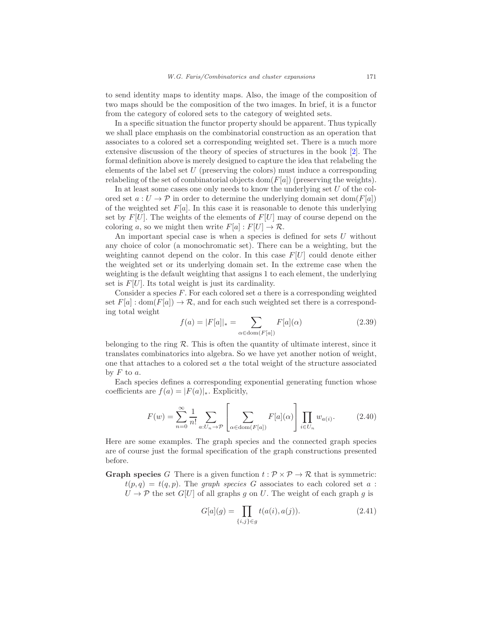to send identity maps to identity maps. Also, the image of the composition of two maps should be the composition of the two images. In brief, it is a functor from the category of colored sets to the category of weighted sets.

In a specific situation the functor property should be apparent. Thus typically we shall place emphasis on the combinatorial construction as an operation that associates to a colored set a corresponding weighted set. There is a much more extensive discussion of the theory of species of structures in the book [\[2\]](#page-48-2). The formal definition above is merely designed to capture the idea that relabeling the elements of the label set  $U$  (preserving the colors) must induce a corresponding relabeling of the set of combinatorial objects dom $(F[a])$  (preserving the weights).

In at least some cases one only needs to know the underlying set U of the colored set  $a: U \to \mathcal{P}$  in order to determine the underlying domain set dom( $F[a]$ ) of the weighted set  $F[a]$ . In this case it is reasonable to denote this underlying set by  $F[U]$ . The weights of the elements of  $F[U]$  may of course depend on the coloring a, so we might then write  $F[a] : F[U] \to \mathcal{R}$ .

An important special case is when a species is defined for sets U without any choice of color (a monochromatic set). There can be a weighting, but the weighting cannot depend on the color. In this case  $F[U]$  could denote either the weighted set or its underlying domain set. In the extreme case when the weighting is the default weighting that assigns 1 to each element, the underlying set is  $F[U]$ . Its total weight is just its cardinality.

Consider a species  $F$ . For each colored set a there is a corresponding weighted set  $F[a]: dom(F[a]) \to \mathcal{R}$ , and for each such weighted set there is a corresponding total weight

$$
f(a) = |F[a]|_* = \sum_{\alpha \in \text{dom}(F[a])} F[a](\alpha) \tag{2.39}
$$

belonging to the ring  $\mathcal R$ . This is often the quantity of ultimate interest, since it translates combinatorics into algebra. So we have yet another notion of weight, one that attaches to a colored set  $a$  the total weight of the structure associated by  $F$  to  $a$ .

Each species defines a corresponding exponential generating function whose coefficients are  $f(a) = |F(a)|_*$ . Explicitly,

$$
F(w) = \sum_{n=0}^{\infty} \frac{1}{n!} \sum_{a:U_n \to \mathcal{P}} \left[ \sum_{\alpha \in \text{dom}(F[a])} F[a](\alpha) \right] \prod_{i \in U_n} w_{a(i)}.
$$
 (2.40)

Here are some examples. The graph species and the connected graph species are of course just the formal specification of the graph constructions presented before.

**Graph species** G There is a given function  $t : \mathcal{P} \times \mathcal{P} \to \mathcal{R}$  that is symmetric:  $t(p,q) = t(q,p)$ . The graph species G associates to each colored set a:  $U \rightarrow \mathcal{P}$  the set  $G[U]$  of all graphs g on U. The weight of each graph g is

$$
G[a](g) = \prod_{\{i,j\} \in g} t(a(i), a(j)).
$$
\n(2.41)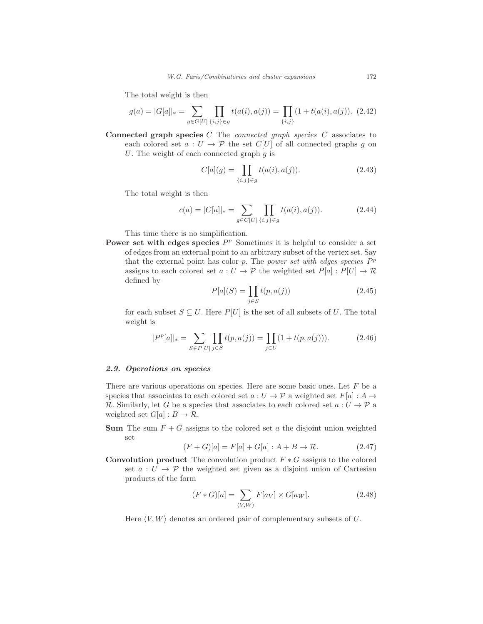The total weight is then

$$
g(a) = |G[a]|_* = \sum_{g \in G[U]} \prod_{\{i,j\} \in g} t(a(i), a(j)) = \prod_{\{i,j\}} (1 + t(a(i), a(j)). \tag{2.42}
$$

**Connected graph species**  $C$  The *connected graph species*  $C$  associates to each colored set  $a: U \to \mathcal{P}$  the set  $C[U]$  of all connected graphs g on U. The weight of each connected graph  $q$  is

$$
C[a](g) = \prod_{\{i,j\} \in g} t(a(i), a(j)).
$$
\n(2.43)

The total weight is then

$$
c(a) = |C[a]|_* = \sum_{g \in C[U]} \prod_{\{i,j\} \in g} t(a(i), a(j)). \tag{2.44}
$$

This time there is no simplification.

Power set with edges species  $P<sup>p</sup>$  Sometimes it is helpful to consider a set of edges from an external point to an arbitrary subset of the vertex set. Say that the external point has color  $p$ . The power set with edges species  $P<sup>p</sup>$ assigns to each colored set  $a: U \to \mathcal{P}$  the weighted set  $P[a]: P[U] \to \mathcal{R}$ defined by

$$
P[a](S) = \prod_{j \in S} t(p, a(j))
$$
\n(2.45)

for each subset  $S \subseteq U$ . Here  $P[U]$  is the set of all subsets of U. The total weight is

$$
|P^{p}[a]|_* = \sum_{S \in P[U]} \prod_{j \in S} t(p, a(j)) = \prod_{j \in U} (1 + t(p, a(j))).
$$
 (2.46)

# <span id="page-15-0"></span>2.9. Operations on species

There are various operations on species. Here are some basic ones. Let  $F$  be a species that associates to each colored set  $a: U \to \mathcal{P}$  a weighted set  $F[a]: A \to$ R. Similarly, let G be a species that associates to each colored set  $a: U \to \mathcal{P}$  a weighted set  $G[a] : B \to \mathcal{R}$ .

**Sum** The sum  $F + G$  assigns to the colored set a the disjoint union weighted set

$$
(F+G)[a] = F[a] + G[a] : A + B \to \mathcal{R}.
$$
 (2.47)

Convolution product The convolution product  $F * G$  assigns to the colored set  $a: U \to \mathcal{P}$  the weighted set given as a disjoint union of Cartesian products of the form

$$
(F * G)[a] = \sum_{\langle V, W \rangle} F[a_V] \times G[a_W]. \tag{2.48}
$$

Here  $\langle V, W \rangle$  denotes an ordered pair of complementary subsets of U.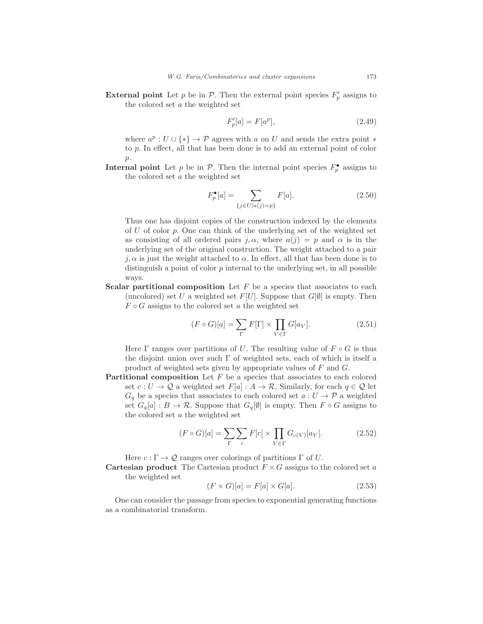**External point** Let p be in  $\mathcal{P}$ . Then the external point species  $F'_p$  assigns to the colored set  $a$  the weighted set

$$
F_p'[a] = F[a^p],\tag{2.49}
$$

where  $a^p: U \cup \{*\} \to \mathcal{P}$  agrees with a on U and sends the extra point  $*$ to p. In effect, all that has been done is to add an external point of color  $p$ .

**Internal point** Let p be in  $P$ . Then the internal point species  $F_p^{\bullet}$  assigns to the colored set a the weighted set

$$
F_p^{\bullet}[a] = \sum_{\{j \in U | a(j) = p\}} F[a]. \tag{2.50}
$$

Thus one has disjoint copies of the construction indexed by the elements of  $U$  of color  $p$ . One can think of the underlying set of the weighted set as consisting of all ordered pairs j,  $\alpha$ , where  $a(j) = p$  and  $\alpha$  is in the underlying set of the original construction. The weight attached to a pair  $j, \alpha$  is just the weight attached to  $\alpha$ . In effect, all that has been done is to distinguish a point of color  $p$  internal to the underlying set, in all possible ways.

Scalar partitional composition Let  $F$  be a species that associates to each (uncolored) set U a weighted set  $F[U]$ . Suppose that  $G[\emptyset]$  is empty. Then  $F \circ G$  assigns to the colored set a the weighted set

$$
(F \circ G)[a] = \sum_{\Gamma} F[\Gamma] \times \prod_{V \in \Gamma} G[a_V]. \tag{2.51}
$$

Here  $\Gamma$  ranges over partitions of U. The resulting value of  $F \circ G$  is thus the disjoint union over such  $\Gamma$  of weighted sets, each of which is itself a product of weighted sets given by appropriate values of F and G.

Partitional composition Let  $F$  be a species that associates to each colored set  $c: U \to Q$  a weighted set  $F[a]: A \to \mathcal{R}$ . Similarly, for each  $q \in Q$  let  $G_q$  be a species that associates to each colored set  $a: U \to \mathcal{P}$  a weighted set  $G_q[a] : B \to \mathcal{R}$ . Suppose that  $G_q[\emptyset]$  is empty. Then  $F \circ G$  assigns to the colored set  $a$  the weighted set

$$
(F \circ G)[a] = \sum_{\Gamma} \sum_{c} F[c] \times \prod_{V \in \Gamma} G_{c(V)}[a_V]. \tag{2.52}
$$

Here  $c : \Gamma \to \mathcal{Q}$  ranges over colorings of partitions  $\Gamma$  of U.

**Cartesian product** The Cartesian product  $F \times G$  assigns to the colored set a the weighted set

$$
(F \times G)[a] = F[a] \times G[a]. \tag{2.53}
$$

One can consider the passage from species to exponential generating functions as a combinatorial transform.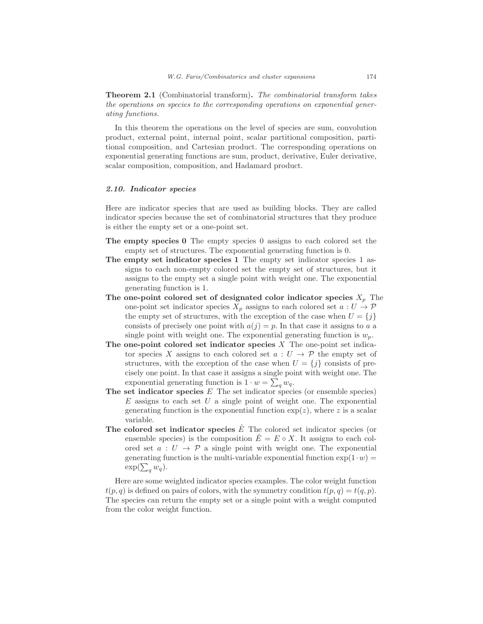Theorem 2.1 (Combinatorial transform). The combinatorial transform takes the operations on species to the corresponding operations on exponential generating functions.

In this theorem the operations on the level of species are sum, convolution product, external point, internal point, scalar partitional composition, partitional composition, and Cartesian product. The corresponding operations on exponential generating functions are sum, product, derivative, Euler derivative, scalar composition, composition, and Hadamard product.

#### <span id="page-17-0"></span>2.10. Indicator species

Here are indicator species that are used as building blocks. They are called indicator species because the set of combinatorial structures that they produce is either the empty set or a one-point set.

- The empty species 0 The empty species 0 assigns to each colored set the empty set of structures. The exponential generating function is 0.
- The empty set indicator species 1 The empty set indicator species 1 assigns to each non-empty colored set the empty set of structures, but it assigns to the empty set a single point with weight one. The exponential generating function is 1.
- The one-point colored set of designated color indicator species  $X_p$  The one-point set indicator species  $X_p$  assigns to each colored set  $a: U \to \mathcal{P}$ the empty set of structures, with the exception of the case when  $U = \{j\}$ consists of precisely one point with  $a(j) = p$ . In that case it assigns to a a single point with weight one. The exponential generating function is  $w_p$ .
- The one-point colored set indicator species  $X$  The one-point set indicator species X assigns to each colored set  $a: U \rightarrow \mathcal{P}$  the empty set of structures, with the exception of the case when  $U = \{j\}$  consists of precisely one point. In that case it assigns a single point with weight one. The exponential generating function is  $1 \cdot w = \sum_q w_q$ .
- The set indicator species  $E$  The set indicator species (or ensemble species)  $E$  assigns to each set U a single point of weight one. The exponential generating function is the exponential function  $\exp(z)$ , where z is a scalar variable.
- The colored set indicator species  $\hat{E}$  The colored set indicator species (or ensemble species) is the composition  $E = E \circ X$ . It assigns to each colored set  $a: U \rightarrow \mathcal{P}$  a single point with weight one. The exponential generating function is the multi-variable exponential function  $\exp(1 \cdot w)$  =  $\exp(\sum_q w_q).$

Here are some weighted indicator species examples. The color weight function  $t(p,q)$  is defined on pairs of colors, with the symmetry condition  $t(p,q) = t(q,p)$ . The species can return the empty set or a single point with a weight computed from the color weight function.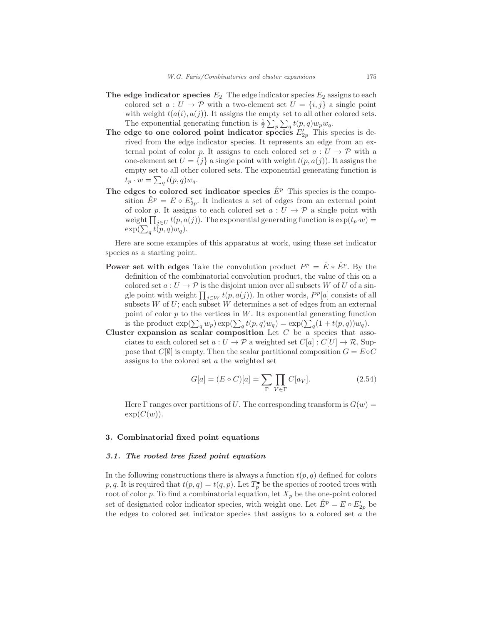- The edge indicator species  $E_2$  The edge indicator species  $E_2$  assigns to each colored set  $a: U \to \mathcal{P}$  with a two-element set  $U = \{i, j\}$  a single point with weight  $t(a(i), a(j))$ . It assigns the empty set to all other colored sets. The exponential generating function is  $\frac{1}{2} \sum_{p} \sum_{q} t(p,q) w_{p} w_{q}$ .
- The edge to one colored point indicator species  $E'_{2p}$  This species is derived from the edge indicator species. It represents an edge from an external point of color p. It assigns to each colored set  $a: U \to \mathcal{P}$  with a one-element set  $U = \{j\}$  a single point with weight  $t(p, a(j))$ . It assigns the empty set to all other colored sets. The exponential generating function is  $t_p \cdot w = \sum_q t(p,q)w_q.$
- The edges to colored set indicator species  $\hat{E}^p$  This species is the composition  $\hat{E}^p = E \circ E'_{2p}$ . It indicates a set of edges from an external point of color p. It assigns to each colored set  $a: U \to \mathcal{P}$  a single point with weight  $\prod_{j\in U} t(p,a(j))$ . The exponential generating function is  $\exp(t_p\cdot w)$  =  $\exp(\sum_q t(p,q)w_q).$

Here are some examples of this apparatus at work, using these set indicator species as a starting point.

- **Power set with edges** Take the convolution product  $P^p = \hat{E} * \hat{E}^p$ . By the definition of the combinatorial convolution product, the value of this on a colored set  $a: U \to \mathcal{P}$  is the disjoint union over all subsets W of U of a single point with weight  $\prod_{j\in W} t(p,a(j))$ . In other words,  $P^p[a]$  consists of all subsets  $W$  of  $U$ ; each subset  $W$  determines a set of edges from an external point of color  $p$  to the vertices in  $W$ . Its exponential generating function is the product  $\exp(\sum_q w_p) \exp(\sum_q t(p,q)w_q) = \exp(\sum_q (1+t(p,q))w_q)$ .
- Cluster expansion as scalar composition Let  $C$  be a species that associates to each colored set  $a: U \to \mathcal{P}$  a weighted set  $C[a]: C[U] \to \mathcal{R}$ . Suppose that  $C[\emptyset]$  is empty. Then the scalar partitional composition  $G = E \circ C$ assigns to the colored set a the weighted set

$$
G[a] = (E \circ C)[a] = \sum_{\Gamma} \prod_{V \in \Gamma} C[a_V]. \tag{2.54}
$$

Here  $\Gamma$  ranges over partitions of U. The corresponding transform is  $G(w)$  =  $\exp(C(w)).$ 

# <span id="page-18-0"></span>3. Combinatorial fixed point equations

# <span id="page-18-1"></span>3.1. The rooted tree fixed point equation

In the following constructions there is always a function  $t(p, q)$  defined for colors p, q. It is required that  $t(p,q) = t(q,p)$ . Let  $T_p^{\bullet}$  be the species of rooted trees with root of color p. To find a combinatorial equation, let  $X_p$  be the one-point colored set of designated color indicator species, with weight one. Let  $\hat{E}^p = E \circ E_{2p}'$  be the edges to colored set indicator species that assigns to a colored set a the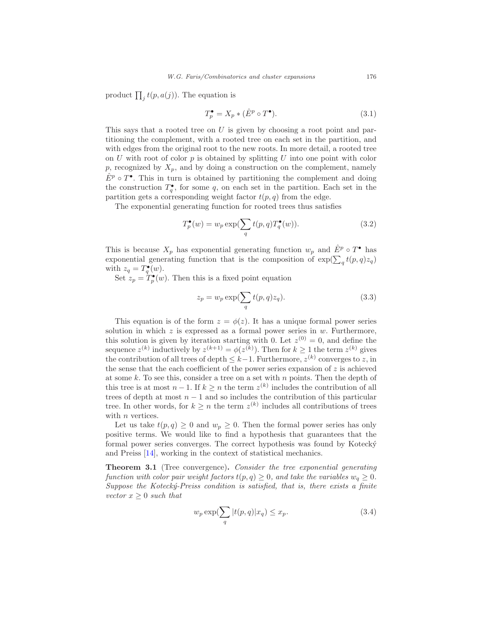product  $\prod_j t(p,a(j))$ . The equation is

$$
T_p^{\bullet} = X_p * (\hat{E}^p \circ T^{\bullet}). \tag{3.1}
$$

This says that a rooted tree on  $U$  is given by choosing a root point and partitioning the complement, with a rooted tree on each set in the partition, and with edges from the original root to the new roots. In more detail, a rooted tree on  $U$  with root of color  $p$  is obtained by splitting  $U$  into one point with color p, recognized by  $X_p$ , and by doing a construction on the complement, namely  $\hat{E}^p \circ T^{\bullet}$ . This in turn is obtained by partitioning the complement and doing the construction  $T_q^{\bullet}$ , for some q, on each set in the partition. Each set in the partition gets a corresponding weight factor  $t(p, q)$  from the edge.

The exponential generating function for rooted trees thus satisfies

$$
T_p^{\bullet}(w) = w_p \exp(\sum_q t(p,q) T_q^{\bullet}(w)).
$$
\n(3.2)

This is because  $X_p$  has exponential generating function  $w_p$  and  $\hat{E}^p \circ T^{\bullet}$  has exponential generating function that is the composition of  $\exp(\sum_q t(p,q)z_q)$ with  $z_q = T_q^{\bullet}(w)$ .

Set  $z_p = T_p^{\bullet}(w)$ . Then this is a fixed point equation

$$
z_p = w_p \exp(\sum_q t(p,q)z_q).
$$
\n(3.3)

This equation is of the form  $z = \phi(z)$ . It has a unique formal power series solution in which z is expressed as a formal power series in  $w$ . Furthermore, this solution is given by iteration starting with 0. Let  $z^{(0)} = 0$ , and define the sequence  $z^{(k)}$  inductively by  $z^{(k+1)} = \phi(z^{(k)})$ . Then for  $k \ge 1$  the term  $z^{(k)}$  gives the contribution of all trees of depth  $\leq k-1$ . Furthermore,  $z^{(k)}$  converges to z, in the sense that the each coefficient of the power series expansion of  $z$  is achieved at some  $k$ . To see this, consider a tree on a set with  $n$  points. Then the depth of this tree is at most  $n-1$ . If  $k \geq n$  the term  $z^{(k)}$  includes the contribution of all trees of depth at most  $n - 1$  and so includes the contribution of this particular tree. In other words, for  $k \geq n$  the term  $z^{(k)}$  includes all contributions of trees with *n* vertices.

Let us take  $t(p,q) \geq 0$  and  $w_p \geq 0$ . Then the formal power series has only positive terms. We would like to find a hypothesis that guarantees that the formal power series converges. The correct hypothesis was found by Kotecký and Preiss [\[14\]](#page-49-1), working in the context of statistical mechanics.

Theorem 3.1 (Tree convergence). Consider the tree exponential generating function with color pair weight factors  $t(p,q) \geq 0$ , and take the variables  $w_q \geq 0$ . Suppose the Kotecký-Preiss condition is satisfied, that is, there exists a finite vector  $x \geq 0$  such that

$$
w_p \exp\left(\sum_q |t(p,q)|x_q\right) \le x_p. \tag{3.4}
$$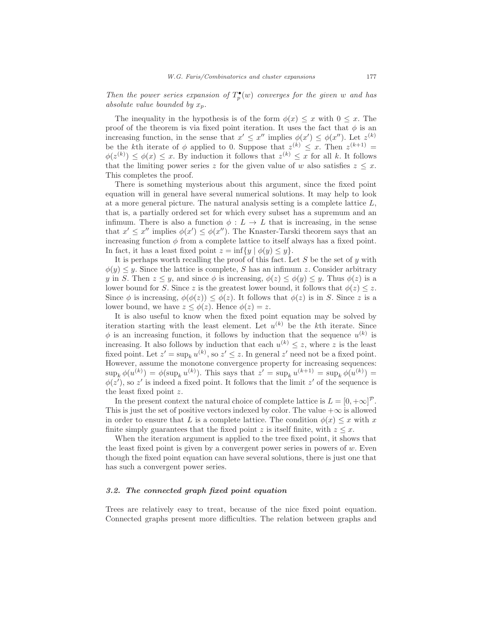Then the power series expansion of  $T_p^{\bullet}(w)$  converges for the given w and has absolute value bounded by  $x_p$ .

The inequality in the hypothesis is of the form  $\phi(x) \leq x$  with  $0 \leq x$ . The proof of the theorem is via fixed point iteration. It uses the fact that  $\phi$  is an increasing function, in the sense that  $x' \leq x''$  implies  $\phi(x') \leq \phi(x'')$ . Let  $z^{(k)}$ be the kth iterate of  $\phi$  applied to 0. Suppose that  $z^{(k)} \leq x$ . Then  $z^{(k+1)} =$  $\phi(z^{(k)}) \leq \phi(x) \leq x$ . By induction it follows that  $z^{(k)} \leq x$  for all k. It follows that the limiting power series z for the given value of w also satisfies  $z \leq x$ . This completes the proof.

There is something mysterious about this argument, since the fixed point equation will in general have several numerical solutions. It may help to look at a more general picture. The natural analysis setting is a complete lattice  $L$ , that is, a partially ordered set for which every subset has a supremum and an infimum. There is also a function  $\phi: L \to L$  that is increasing, in the sense that  $x' \leq x''$  implies  $\phi(x') \leq \phi(x'')$ . The Knaster-Tarski theorem says that an increasing function  $\phi$  from a complete lattice to itself always has a fixed point. In fact, it has a least fixed point  $z = \inf\{y \mid \phi(y) \leq y\}.$ 

It is perhaps worth recalling the proof of this fact. Let  $S$  be the set of  $y$  with  $\phi(y) \leq y$ . Since the lattice is complete, S has an infimum z. Consider arbitrary y in S. Then  $z \leq y$ , and since  $\phi$  is increasing,  $\phi(z) \leq \phi(y) \leq y$ . Thus  $\phi(z)$  is a lower bound for S. Since z is the greatest lower bound, it follows that  $\phi(z) \leq z$ . Since  $\phi$  is increasing,  $\phi(\phi(z)) \leq \phi(z)$ . It follows that  $\phi(z)$  is in S. Since z is a lower bound, we have  $z \leq \phi(z)$ . Hence  $\phi(z) = z$ .

It is also useful to know when the fixed point equation may be solved by iteration starting with the least element. Let  $u^{(k)}$  be the k<sup>th</sup> iterate. Since  $\phi$  is an increasing function, it follows by induction that the sequence  $u^{(k)}$  is increasing. It also follows by induction that each  $u^{(k)} \leq z$ , where z is the least fixed point. Let  $z' = \sup_k u^{(k)}$ , so  $z' \leq z$ . In general  $z'$  need not be a fixed point. However, assume the monotone convergence property for increasing sequences:  $\sup_k \phi(u^{(k)}) = \phi(\sup_k u^{(k)})$ . This says that  $z' = \sup_k u^{(k+1)} = \sup_k \phi(u^{(k)}) =$  $\phi(z')$ , so z' is indeed a fixed point. It follows that the limit z' of the sequence is the least fixed point z.

In the present context the natural choice of complete lattice is  $L = [0, +\infty]^{\mathcal{P}}$ . This is just the set of positive vectors indexed by color. The value  $+\infty$  is allowed in order to ensure that L is a complete lattice. The condition  $\phi(x) \leq x$  with x finite simply guarantees that the fixed point z is itself finite, with  $z \leq x$ .

When the iteration argument is applied to the tree fixed point, it shows that the least fixed point is given by a convergent power series in powers of  $w$ . Even though the fixed point equation can have several solutions, there is just one that has such a convergent power series.

# <span id="page-20-0"></span>3.2. The connected graph fixed point equation

Trees are relatively easy to treat, because of the nice fixed point equation. Connected graphs present more difficulties. The relation between graphs and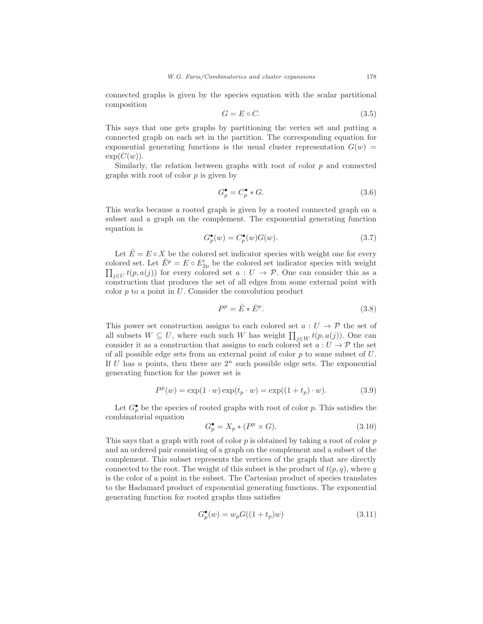connected graphs is given by the species equation with the scalar partitional composition

$$
G = E \circ C. \tag{3.5}
$$

This says that one gets graphs by partitioning the vertex set and putting a connected graph on each set in the partition. The corresponding equation for exponential generating functions is the usual cluster representation  $G(w)$  =  $\exp(C(w)).$ 

Similarly, the relation between graphs with root of color  $p$  and connected graphs with root of color  $p$  is given by

$$
G_p^{\bullet} = C_p^{\bullet} * G. \tag{3.6}
$$

This works because a rooted graph is given by a rooted connected graph on a subset and a graph on the complement. The exponential generating function equation is

<span id="page-21-1"></span>
$$
G_p^{\bullet}(w) = C_p^{\bullet}(w)G(w). \tag{3.7}
$$

Let  $\hat{E} = E \circ X$  be the colored set indicator species with weight one for every colored set. Let  $\hat{E}^p = E \circ E_{2p}'$  be the colored set indicator species with weight  $\prod_{j\in U} t(p, a(j))$  for every colored set  $a: U \to \mathcal{P}$ . One can consider this as a construction that produces the set of all edges from some external point with color  $p$  to a point in  $U$ . Consider the convolution product

$$
P^p = \hat{E} * \hat{E}^p. \tag{3.8}
$$

This power set construction assigns to each colored set  $a: U \rightarrow \mathcal{P}$  the set of all subsets  $W \subseteq U$ , where each such W has weight  $\prod_{j \in W} t(p, a(j))$ . One can consider it as a construction that assigns to each colored set  $a: U \to \mathcal{P}$  the set of all possible edge sets from an external point of color  $p$  to some subset of  $U$ . If U has n points, then there are  $2^n$  such possible edge sets. The exponential generating function for the power set is

$$
P^{p}(w) = \exp(1 \cdot w) \exp(t_{p} \cdot w) = \exp((1 + t_{p}) \cdot w). \tag{3.9}
$$

Let  $G_p^{\bullet}$  be the species of rooted graphs with root of color p. This satisfies the combinatorial equation

$$
G_p^{\bullet} = X_p * (P^p \times G). \tag{3.10}
$$

This says that a graph with root of color  $p$  is obtained by taking a root of color  $p$ and an ordered pair consisting of a graph on the complement and a subset of the complement. This subset represents the vertices of the graph that are directly connected to the root. The weight of this subset is the product of  $t(p, q)$ , where q is the color of a point in the subset. The Cartesian product of species translates to the Hadamard product of exponential generating functions. The exponential generating function for rooted graphs thus satisfies

<span id="page-21-0"></span>
$$
G_p^{\bullet}(w) = w_p G((1+t_p)w)
$$
\n(3.11)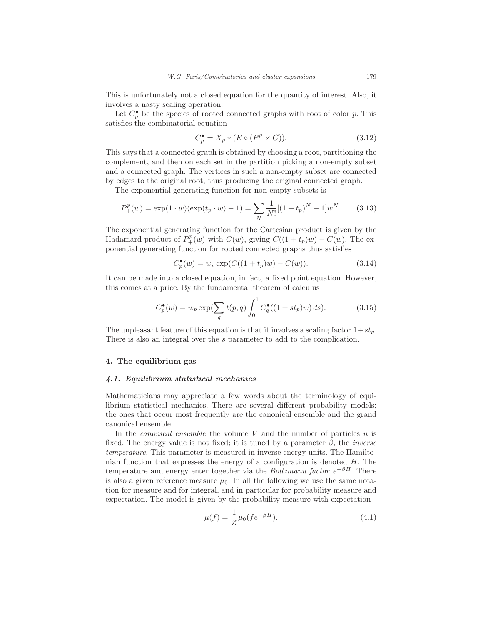This is unfortunately not a closed equation for the quantity of interest. Also, it involves a nasty scaling operation.

Let  $C_p^{\bullet}$  be the species of rooted connected graphs with root of color p. This satisfies the combinatorial equation

$$
C_p^{\bullet} = X_p * (E \circ (P_+^p \times C)). \tag{3.12}
$$

This says that a connected graph is obtained by choosing a root, partitioning the complement, and then on each set in the partition picking a non-empty subset and a connected graph. The vertices in such a non-empty subset are connected by edges to the original root, thus producing the original connected graph.

The exponential generating function for non-empty subsets is

$$
P_{+}^{p}(w) = \exp(1 \cdot w)(\exp(t_{p} \cdot w) - 1) = \sum_{N} \frac{1}{N!} [(1 + t_{p})^{N} - 1] w^{N}.
$$
 (3.13)

The exponential generating function for the Cartesian product is given by the Hadamard product of  $P_+^p(w)$  with  $C(w)$ , giving  $C((1 + t_p)w) - C(w)$ . The exponential generating function for rooted connected graphs thus satisfies

<span id="page-22-2"></span>
$$
C_p^{\bullet}(w) = w_p \exp(C((1+t_p)w) - C(w)).
$$
\n(3.14)

It can be made into a closed equation, in fact, a fixed point equation. However, this comes at a price. By the fundamental theorem of calculus

<span id="page-22-3"></span>
$$
C_p^{\bullet}(w) = w_p \exp(\sum_q t(p,q) \int_0^1 C_q^{\bullet}((1+st_p)w) ds). \tag{3.15}
$$

The unpleasant feature of this equation is that it involves a scaling factor  $1+st_p$ . There is also an integral over the s parameter to add to the complication.

#### <span id="page-22-1"></span><span id="page-22-0"></span>4. The equilibrium gas

# 4.1. Equilibrium statistical mechanics

Mathematicians may appreciate a few words about the terminology of equilibrium statistical mechanics. There are several different probability models; the ones that occur most frequently are the canonical ensemble and the grand canonical ensemble.

In the *canonical ensemble* the volume  $V$  and the number of particles  $n$  is fixed. The energy value is not fixed; it is tuned by a parameter  $\beta$ , the *inverse* temperature. This parameter is measured in inverse energy units. The Hamiltonian function that expresses the energy of a configuration is denoted  $H$ . The temperature and energy enter together via the *Boltzmann factor*  $e^{-\beta H}$ . There is also a given reference measure  $\mu_0$ . In all the following we use the same notation for measure and for integral, and in particular for probability measure and expectation. The model is given by the probability measure with expectation

$$
\mu(f) = \frac{1}{Z} \mu_0 (f e^{-\beta H}).
$$
\n(4.1)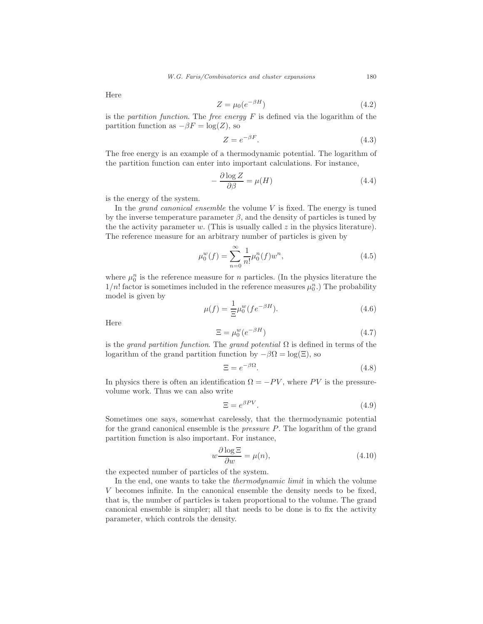Here

$$
Z = \mu_0 (e^{-\beta H}) \tag{4.2}
$$

is the partition function. The free energy  $F$  is defined via the logarithm of the partition function as  $-\beta F = \log(Z)$ , so

$$
Z = e^{-\beta F}.\tag{4.3}
$$

The free energy is an example of a thermodynamic potential. The logarithm of the partition function can enter into important calculations. For instance,

$$
-\frac{\partial \log Z}{\partial \beta} = \mu(H) \tag{4.4}
$$

is the energy of the system.

In the *grand canonical ensemble* the volume  $V$  is fixed. The energy is tuned by the inverse temperature parameter  $\beta$ , and the density of particles is tuned by the the activity parameter w. (This is usually called  $z$  in the physics literature). The reference measure for an arbitrary number of particles is given by

$$
\mu_0^w(f) = \sum_{n=0}^{\infty} \frac{1}{n!} \mu_0^n(f) w^n,
$$
\n(4.5)

where  $\mu_0^n$  is the reference measure for n particles. (In the physics literature the  $1/n!$  factor is sometimes included in the reference measures  $\mu_0^n$ .) The probability model is given by

$$
\mu(f) = \frac{1}{\Xi} \mu_0^w (f e^{-\beta H}).\tag{4.6}
$$

Here

$$
\Xi = \mu_0^w (e^{-\beta H}) \tag{4.7}
$$

is the grand partition function. The grand potential  $\Omega$  is defined in terms of the logarithm of the grand partition function by  $-\beta\Omega = \log(E)$ , so

$$
\Xi = e^{-\beta \Omega}.\tag{4.8}
$$

In physics there is often an identification  $\Omega = -PV$ , where PV is the pressurevolume work. Thus we can also write

$$
\Xi = e^{\beta PV}.\tag{4.9}
$$

Sometimes one says, somewhat carelessly, that the thermodynamic potential for the grand canonical ensemble is the pressure P. The logarithm of the grand partition function is also important. For instance,

$$
w\frac{\partial \log \Xi}{\partial w} = \mu(n),\tag{4.10}
$$

the expected number of particles of the system.

In the end, one wants to take the thermodynamic limit in which the volume V becomes infinite. In the canonical ensemble the density needs to be fixed, that is, the number of particles is taken proportional to the volume. The grand canonical ensemble is simpler; all that needs to be done is to fix the activity parameter, which controls the density.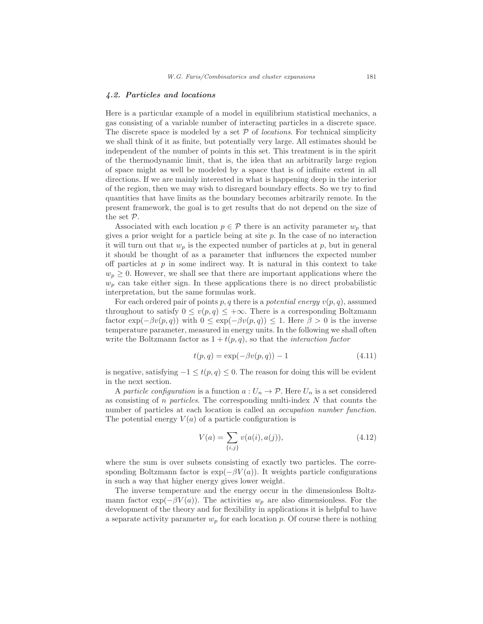#### <span id="page-24-0"></span>4.2. Particles and locations

Here is a particular example of a model in equilibrium statistical mechanics, a gas consisting of a variable number of interacting particles in a discrete space. The discrete space is modeled by a set  $P$  of *locations*. For technical simplicity we shall think of it as finite, but potentially very large. All estimates should be independent of the number of points in this set. This treatment is in the spirit of the thermodynamic limit, that is, the idea that an arbitrarily large region of space might as well be modeled by a space that is of infinite extent in all directions. If we are mainly interested in what is happening deep in the interior of the region, then we may wish to disregard boundary effects. So we try to find quantities that have limits as the boundary becomes arbitrarily remote. In the present framework, the goal is to get results that do not depend on the size of the set P.

Associated with each location  $p \in \mathcal{P}$  there is an activity parameter  $w_p$  that gives a prior weight for a particle being at site  $p$ . In the case of no interaction it will turn out that  $w_p$  is the expected number of particles at p, but in general it should be thought of as a parameter that influences the expected number off particles at  $p$  in some indirect way. It is natural in this context to take  $w_p \geq 0$ . However, we shall see that there are important applications where the  $w_p$  can take either sign. In these applications there is no direct probabilistic interpretation, but the same formulas work.

For each ordered pair of points p, q there is a potential energy  $v(p, q)$ , assumed throughout to satisfy  $0 \le v(p,q) \le +\infty$ . There is a corresponding Boltzmann factor  $\exp(-\beta v(p,q))$  with  $0 \leq \exp(-\beta v(p,q)) \leq 1$ . Here  $\beta > 0$  is the inverse temperature parameter, measured in energy units. In the following we shall often write the Boltzmann factor as  $1 + t(p, q)$ , so that the *interaction factor* 

$$
t(p,q) = \exp(-\beta v(p,q)) - 1
$$
\n(4.11)

is negative, satisfying  $-1 \le t(p, q) \le 0$ . The reason for doing this will be evident in the next section.

A particle configuration is a function  $a: U_n \to \mathcal{P}$ . Here  $U_n$  is a set considered as consisting of  $n$  particles. The corresponding multi-index  $N$  that counts the number of particles at each location is called an *occupation number function*. The potential energy  $V(a)$  of a particle configuration is

$$
V(a) = \sum_{\{i,j\}} v(a(i), a(j)),
$$
\n(4.12)

where the sum is over subsets consisting of exactly two particles. The corresponding Boltzmann factor is  $\exp(-\beta V(a))$ . It weights particle configurations in such a way that higher energy gives lower weight.

The inverse temperature and the energy occur in the dimensionless Boltzmann factor  $\exp(-\beta V(a))$ . The activities  $w_p$  are also dimensionless. For the development of the theory and for flexibility in applications it is helpful to have a separate activity parameter  $w_p$  for each location p. Of course there is nothing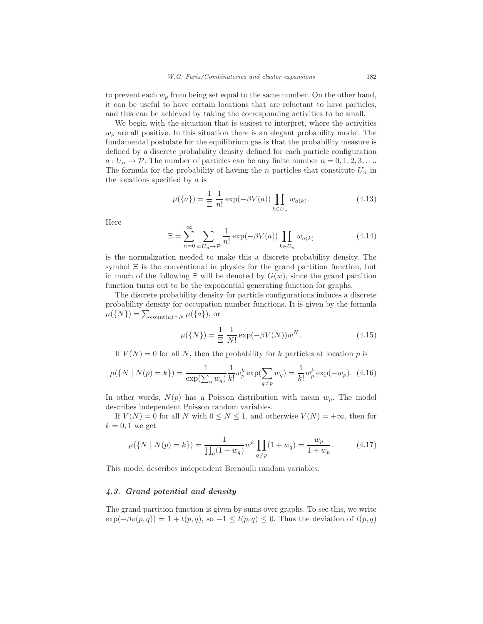to prevent each  $w_p$  from being set equal to the same number. On the other hand, it can be useful to have certain locations that are reluctant to have particles, and this can be achieved by taking the corresponding activities to be small.

We begin with the situation that is easiest to interpret, where the activities  $w_p$  are all positive. In this situation there is an elegant probability model. The fundamental postulate for the equilibrium gas is that the probability measure is defined by a discrete probability density defined for each particle configuration  $a: U_n \to \mathcal{P}$ . The number of particles can be any finite number  $n = 0, 1, 2, 3, \ldots$ The formula for the probability of having the n particles that constitute  $U_n$  in the locations specified by a is

$$
\mu({a}) = \frac{1}{\Xi} \frac{1}{n!} \exp(-\beta V(a)) \prod_{k \in U_n} w_{a(k)}.
$$
 (4.13)

Here

$$
\Xi = \sum_{n=0}^{\infty} \sum_{a:U_n \to \mathcal{P}} \frac{1}{n!} \exp(-\beta V(a)) \prod_{k \in U_n} w_{a(k)} \tag{4.14}
$$

is the normalization needed to make this a discrete probability density. The symbol  $\Xi$  is the conventional in physics for the grand partition function, but in much of the following  $\Xi$  will be denoted by  $G(w)$ , since the grand partition function turns out to be the exponential generating function for graphs.

The discrete probability density for particle configurations induces a discrete probability density for occupation number functions. It is given by the formula  $\mu({N}) = \sum_{\text{count}(a)=N} \mu({a}),$  or

$$
\mu({N}) = \frac{1}{\Xi} \frac{1}{N!} \exp(-\beta V(N)) w^N.
$$
\n(4.15)

If  $V(N) = 0$  for all N, then the probability for k particles at location p is

$$
\mu({N \mid N(p) = k}) = \frac{1}{\exp(\sum_{q} w_q)} \frac{1}{k!} w_p^k \exp(\sum_{q \neq p} w_q) = \frac{1}{k!} w_p^k \exp(-w_p). \tag{4.16}
$$

In other words,  $N(p)$  has a Poisson distribution with mean  $w_p$ . The model describes independent Poisson random variables.

If  $V(N) = 0$  for all N with  $0 \le N \le 1$ , and otherwise  $V(N) = +\infty$ , then for  $k = 0, 1$  we get

$$
\mu({N \mid N(p) = k}) = \frac{1}{\prod_{q} (1 + w_q)} w^k \prod_{q \neq p} (1 + w_q) = \frac{w_p}{1 + w_p}.
$$
 (4.17)

This model describes independent Bernoulli random variables.

#### <span id="page-25-0"></span>4.3. Grand potential and density

The grand partition function is given by sums over graphs. To see this, we write  $\exp(-\beta v(p,q)) = 1 + t(p,q)$ , so  $-1 \leq t(p,q) \leq 0$ . Thus the deviation of  $t(p,q)$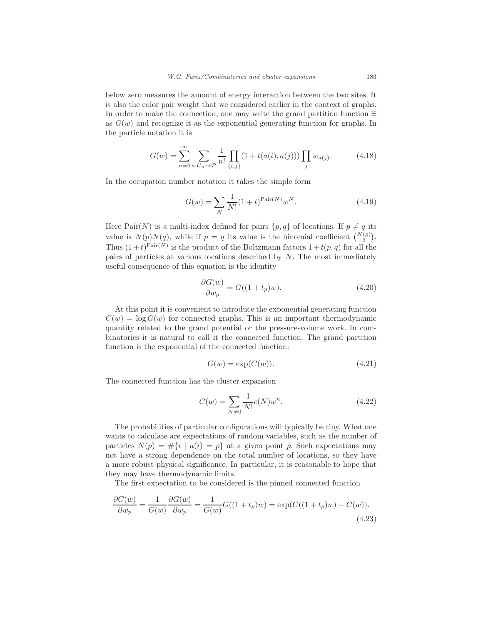below zero measures the amount of energy interaction between the two sites. It is also the color pair weight that we considered earlier in the context of graphs. In order to make the connection, one may write the grand partition function Ξ as  $G(w)$  and recognize it as the exponential generating function for graphs. In the particle notation it is

$$
G(w) = \sum_{n=0}^{\infty} \sum_{a:U_n \to \mathcal{P}} \frac{1}{n!} \prod_{\{i,j\}} (1 + t(a(i), a(j))) \prod_j w_{a(j)}.
$$
 (4.18)

In the occupation number notation it takes the simple form

$$
G(w) = \sum_{N} \frac{1}{N!} (1+t)^{\text{Pair}(N)} w^N.
$$
 (4.19)

Here Pair $(N)$  is a multi-index defined for pairs  $\{p, q\}$  of locations. If  $p \neq q$  its value is  $N(p)N(q)$ , while if  $p = q$  its value is the binomial coefficient  $\binom{N(p)}{2}$ . Thus  $(1+t)^{\text{Pair}(N)}$  is the product of the Boltzmann factors  $1+t(p,q)$  for all the pairs of particles at various locations described by N. The most immediately useful consequence of this equation is the identity

$$
\frac{\partial G(w)}{\partial w_p} = G((1 + t_p)w). \tag{4.20}
$$

At this point it is convenient to introduce the exponential generating function  $C(w) = \log G(w)$  for connected graphs. This is an important thermodynamic quantity related to the grand potential or the pressure-volume work. In combinatorics it is natural to call it the connected function. The grand partition function is the exponential of the connected function:

$$
G(w) = \exp(C(w)).\tag{4.21}
$$

The connected function has the cluster expansion

$$
C(w) = \sum_{N \neq 0} \frac{1}{N!} c(N) w^n.
$$
 (4.22)

The probabilities of particular configurations will typically be tiny. What one wants to calculate are expectations of random variables, such as the number of particles  $N(p) = #\{i \mid a(i) = p\}$  at a given point p. Such expectations may not have a strong dependence on the total number of locations, so they have a more robust physical significance. In particular, it is reasonable to hope that they may have thermodynamic limits.

The first expectation to be considered is the pinned connected function

$$
\frac{\partial C(w)}{\partial w_p} = \frac{1}{G(w)} \frac{\partial G(w)}{\partial w_p} = \frac{1}{G(w)} G((1+t_p)w) = \exp(C((1+t_p)w) - C(w)).
$$
\n(4.23)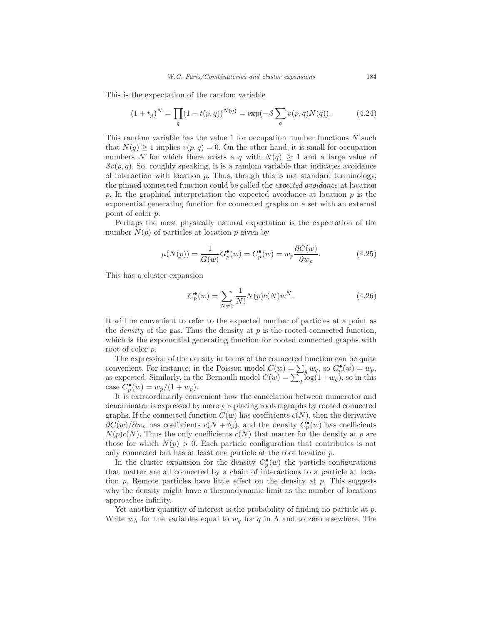This is the expectation of the random variable

$$
(1+t_p)^N = \prod_q (1+t(p,q))^{N(q)} = \exp(-\beta \sum_q v(p,q)N(q)). \tag{4.24}
$$

This random variable has the value 1 for occupation number functions  $N$  such that  $N(q) \ge 1$  implies  $v(p,q) = 0$ . On the other hand, it is small for occupation numbers N for which there exists a q with  $N(q) \geq 1$  and a large value of  $\beta v(p,q)$ . So, roughly speaking, it is a random variable that indicates avoidance of interaction with location  $p$ . Thus, though this is not standard terminology, the pinned connected function could be called the expected avoidance at location p. In the graphical interpretation the expected avoidance at location p is the exponential generating function for connected graphs on a set with an external point of color p.

Perhaps the most physically natural expectation is the expectation of the number  $N(p)$  of particles at location p given by

$$
\mu(N(p)) = \frac{1}{G(w)} G_p^{\bullet}(w) = C_p^{\bullet}(w) = w_p \frac{\partial C(w)}{\partial w_p}.
$$
\n(4.25)

This has a cluster expansion

$$
C_p^{\bullet}(w) = \sum_{N \neq 0} \frac{1}{N!} N(p)c(N)w^N.
$$
 (4.26)

It will be convenient to refer to the expected number of particles at a point as the *density* of the gas. Thus the density at  $p$  is the rooted connected function, which is the exponential generating function for rooted connected graphs with root of color p.

The expression of the density in terms of the connected function can be quite convenient. For instance, in the Poisson model  $C(w) = \sum_q w_q$ , so  $C_p^{\bullet}(w) = w_p$ , as expected. Similarly, in the Bernoulli model  $C(w) = \sum_q \log(1 + w_q)$ , so in this case  $C_p^{\bullet}(w) = w_p/(1 + w_p)$ .

It is extraordinarily convenient how the cancelation between numerator and denominator is expressed by merely replacing rooted graphs by rooted connected graphs. If the connected function  $C(w)$  has coefficients  $c(N)$ , then the derivative  $\partial C(w)/\partial w_p$  has coefficients  $c(N + \delta_p)$ , and the density  $C_p^{\bullet}(w)$  has coefficients  $N(p)c(N)$ . Thus the only coefficients  $c(N)$  that matter for the density at p are those for which  $N(p) > 0$ . Each particle configuration that contributes is not only connected but has at least one particle at the root location p.

In the cluster expansion for the density  $C_p^{\bullet}(w)$  the particle configurations that matter are all connected by a chain of interactions to a particle at location  $p$ . Remote particles have little effect on the density at  $p$ . This suggests why the density might have a thermodynamic limit as the number of locations approaches infinity.

Yet another quantity of interest is the probability of finding no particle at  $p$ . Write  $w_{\Lambda}$  for the variables equal to  $w_q$  for q in  $\Lambda$  and to zero elsewhere. The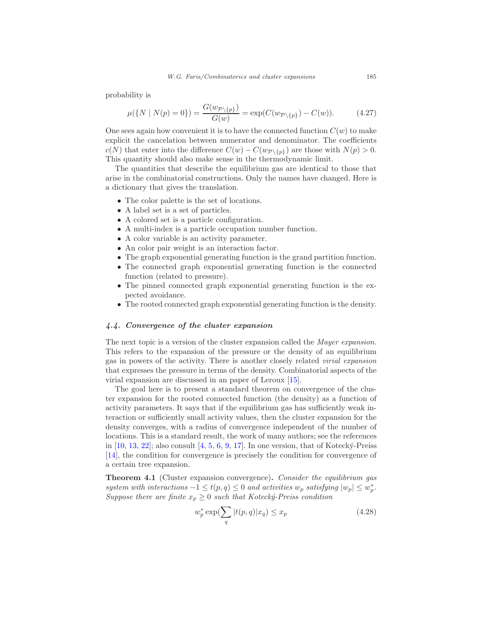probability is

$$
\mu({N \mid N(p) = 0}) = \frac{G(w_{\mathcal{P} \setminus \{p\}})}{G(w)} = \exp(C(w_{\mathcal{P} \setminus \{p\}}) - C(w)). \tag{4.27}
$$

One sees again how convenient it is to have the connected function  $C(w)$  to make explicit the cancelation between numerator and denominator. The coefficients  $c(N)$  that enter into the difference  $C(w) - C(w_{\mathcal{P}\setminus\{p\}})$  are those with  $N(p) > 0$ . This quantity should also make sense in the thermodynamic limit.

The quantities that describe the equilibrium gas are identical to those that arise in the combinatorial constructions. Only the names have changed. Here is a dictionary that gives the translation.

- The color palette is the set of locations.
- A label set is a set of particles.
- A colored set is a particle configuration.
- A multi-index is a particle occupation number function.
- A color variable is an activity parameter.
- An color pair weight is an interaction factor.
- The graph exponential generating function is the grand partition function.
- The connected graph exponential generating function is the connected function (related to pressure).
- The pinned connected graph exponential generating function is the expected avoidance.
- The rooted connected graph exponential generating function is the density.

# <span id="page-28-0"></span>4.4. Convergence of the cluster expansion

The next topic is a version of the cluster expansion called the Mayer expansion. This refers to the expansion of the pressure or the density of an equilibrium gas in powers of the activity. There is another closely related virial expansion that expresses the pressure in terms of the density. Combinatorial aspects of the virial expansion are discussed in an paper of Leroux [\[15\]](#page-49-2).

The goal here is to present a standard theorem on convergence of the cluster expansion for the rooted connected function (the density) as a function of activity parameters. It says that if the equilibrium gas has sufficiently weak interaction or sufficiently small activity values, then the cluster expansion for the density converges, with a radius of convergence independent of the number of locations. This is a standard result, the work of many authors; see the references in  $[10, 13, 22]$  $[10, 13, 22]$  $[10, 13, 22]$  $[10, 13, 22]$ ; also consult  $[4, 5, 6, 9, 17]$  $[4, 5, 6, 9, 17]$  $[4, 5, 6, 9, 17]$  $[4, 5, 6, 9, 17]$  $[4, 5, 6, 9, 17]$  $[4, 5, 6, 9, 17]$  $[4, 5, 6, 9, 17]$  $[4, 5, 6, 9, 17]$ . In one version, that of Kotecký-Preiss [\[14\]](#page-49-1), the condition for convergence is precisely the condition for convergence of a certain tree expansion.

**Theorem 4.1** (Cluster expansion convergence). Consider the equilibrium gas system with interactions  $-1 \le t(p, q) \le 0$  and activities  $w_p$  satisfying  $|w_p| \le w_p^*$ . Suppose there are finite  $x_p \geq 0$  such that Kotecky-Preiss condition

$$
w_p^* \exp\left(\sum_q |t(p,q)| x_q\right) \le x_p \tag{4.28}
$$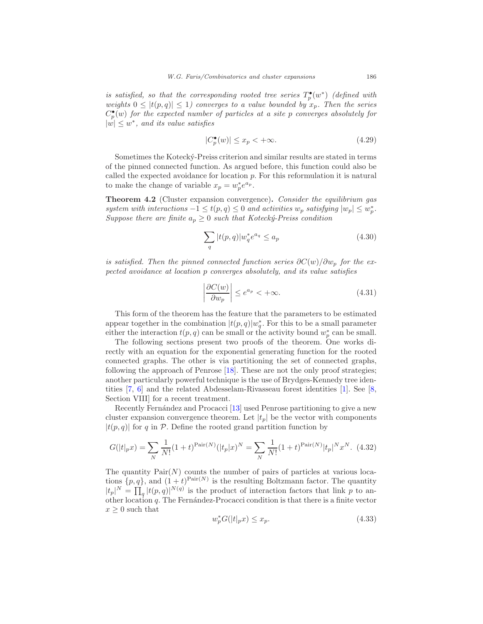is satisfied, so that the corresponding rooted tree series  $T_p^{\bullet}(w^*)$  (defined with weights  $0 \leq |t(p,q)| \leq 1$ ) converges to a value bounded by  $x_p$ . Then the series  $C_p^{\bullet}(w)$  for the expected number of particles at a site p converges absolutely for  $|w| \leq w^*$ , and its value satisfies

$$
|C_p^{\bullet}(w)| \le x_p < +\infty. \tag{4.29}
$$

Sometimes the Koteck´y-Preiss criterion and similar results are stated in terms of the pinned connected function. As argued before, this function could also be called the expected avoidance for location p. For this reformulation it is natural to make the change of variable  $x_p = w_p^* e^{a_p}$ .

**Theorem 4.2** (Cluster expansion convergence). Consider the equilibrium gas system with interactions  $-1 \le t(p,q) \le 0$  and activities  $w_p$  satisfying  $|w_p| \le w_p^*$ . Suppose there are finite  $a_p \geq 0$  such that Kotecký-Preiss condition

$$
\sum_{q} |t(p,q)| w_q^* e^{a_q} \le a_p \tag{4.30}
$$

is satisfied. Then the pinned connected function series  $\partial C(w)/\partial w_p$  for the expected avoidance at location p converges absolutely, and its value satisfies

$$
\left| \frac{\partial C(w)}{\partial w_p} \right| \le e^{a_p} < +\infty. \tag{4.31}
$$

This form of the theorem has the feature that the parameters to be estimated appear together in the combination  $|t(p,q)|w_q^*$ . For this to be a small parameter either the interaction  $t(p, q)$  can be small or the activity bound  $w_p^*$  can be small.

The following sections present two proofs of the theorem. One works directly with an equation for the exponential generating function for the rooted connected graphs. The other is via partitioning the set of connected graphs, following the approach of Penrose [\[18\]](#page-49-8). These are not the only proof strategies; another particularly powerful technique is the use of Brydges-Kennedy tree identities [\[7,](#page-49-9) [6\]](#page-48-5) and the related Abdesselam-Rivasseau forest identities [\[1\]](#page-48-6). See [\[8,](#page-49-10) Section VIII] for a recent treatment.

Recently Fernández and Procacci [\[13\]](#page-49-4) used Penrose partitioning to give a new cluster expansion convergence theorem. Let  $|t_p|$  be the vector with components  $|t(p, q)|$  for q in P. Define the rooted grand partition function by

$$
G(|t|_p x) = \sum_N \frac{1}{N!} (1+t)^{\text{Pair}(N)} (|t_p|x)^N = \sum_N \frac{1}{N!} (1+t)^{\text{Pair}(N)} |t_p|^N x^N. \tag{4.32}
$$

The quantity  $Pair(N)$  counts the number of pairs of particles at various locations  $\{p, q\}$ , and  $(1 + t)^{\text{Pair}(N)}$  is the resulting Boltzmann factor. The quantity  $|t_p|^N = \prod_q |t(p,q)|^{N(q)}$  is the product of interaction factors that link p to another location  $q$ . The Fernández-Procacci condition is that there is a finite vector  $x \geq 0$  such that

$$
w_p^* G(|t|_p x) \le x_p. \tag{4.33}
$$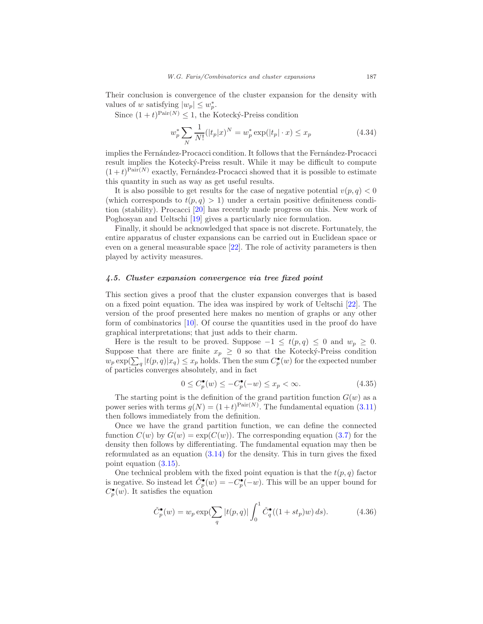Their conclusion is convergence of the cluster expansion for the density with values of w satisfying  $|w_p| \leq w_p^*$ .

Since  $(1+t)^{\text{Pair}(N)} \leq 1$ , the Kotecký-Preiss condition

$$
w_p^* \sum_{N} \frac{1}{N!} (|t_p| x)^N = w_p^* \exp(|t_p| \cdot x) \le x_p \tag{4.34}
$$

implies the Fernández-Procacci condition. It follows that the Fernández-Procacci result implies the Kotecký-Preiss result. While it may be difficult to compute  $(1+t)^{\text{Pair}(N)}$  exactly, Fernández-Procacci showed that it is possible to estimate this quantity in such as way as get useful results.

It is also possible to get results for the case of negative potential  $v(p, q) < 0$ (which corresponds to  $t(p,q) > 1$ ) under a certain positive definiteness condition (stability). Procacci [\[20\]](#page-49-11) has recently made progress on this. New work of Poghosyan and Ueltschi [\[19\]](#page-49-12) gives a particularly nice formulation.

Finally, it should be acknowledged that space is not discrete. Fortunately, the entire apparatus of cluster expansions can be carried out in Euclidean space or even on a general measurable space [\[22\]](#page-49-5). The role of activity parameters is then played by activity measures.

## <span id="page-30-0"></span>4.5. Cluster expansion convergence via tree fixed point

This section gives a proof that the cluster expansion converges that is based on a fixed point equation. The idea was inspired by work of Ueltschi [\[22\]](#page-49-5). The version of the proof presented here makes no mention of graphs or any other form of combinatorics [\[10\]](#page-49-3). Of course the quantities used in the proof do have graphical interpretations; that just adds to their charm.

Here is the result to be proved. Suppose  $-1 \leq t(p,q) \leq 0$  and  $w_p \geq 0$ . Suppose that there are finite  $x_p \geq 0$  so that the Kotecky-Preiss condition  $w_p \exp\left(\sum_q |t(p,q)|x_q\right) \leq x_p$  holds. Then the sum  $C_p^{\bullet}(w)$  for the expected number of particles converges absolutely, and in fact

$$
0 \le C_p^{\bullet}(w) \le -C_p^{\bullet}(-w) \le x_p < \infty. \tag{4.35}
$$

The starting point is the definition of the grand partition function  $G(w)$  as a power series with terms  $g(N) = (1+t)^{\text{Pair}(N)}$ . The fundamental equation [\(3.11\)](#page-21-0) then follows immediately from the definition.

Once we have the grand partition function, we can define the connected function  $C(w)$  by  $G(w) = \exp(C(w))$ . The corresponding equation [\(3.7\)](#page-21-1) for the density then follows by differentiating. The fundamental equation may then be reformulated as an equation [\(3.14\)](#page-22-2) for the density. This in turn gives the fixed point equation [\(3.15\)](#page-22-3).

One technical problem with the fixed point equation is that the  $t(p, q)$  factor is negative. So instead let  $\check{C}_p^{\bullet}(w) = -C_p^{\bullet}(-w)$ . This will be an upper bound for  $C_p^{\bullet}(w)$ . It satisfies the equation

$$
\check{C}_p^{\bullet}(w) = w_p \exp\left(\sum_q |t(p,q)| \int_0^1 \check{C}_q^{\bullet}((1+st_p)w) ds\right). \tag{4.36}
$$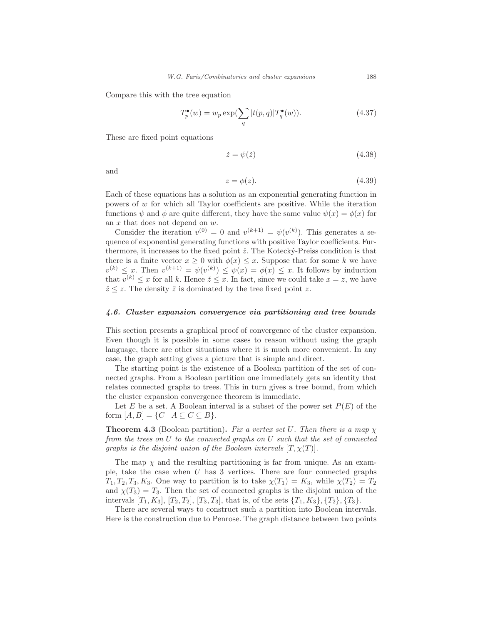Compare this with the tree equation

$$
T_p^{\bullet}(w) = w_p \exp\left(\sum_q |t(p,q)| T_q^{\bullet}(w)\right).
$$
 (4.37)

These are fixed point equations

$$
\check{z} = \psi(\check{z})\tag{4.38}
$$

and

$$
z = \phi(z). \tag{4.39}
$$

Each of these equations has a solution as an exponential generating function in powers of w for which all Taylor coefficients are positive. While the iteration functions  $\psi$  and  $\phi$  are quite different, they have the same value  $\psi(x) = \phi(x)$  for an x that does not depend on w.

Consider the iteration  $v^{(0)} = 0$  and  $v^{(k+1)} = \psi(v^{(k)})$ . This generates a sequence of exponential generating functions with positive Taylor coefficients. Furthermore, it increases to the fixed point  $\check{z}$ . The Kotecký-Preiss condition is that there is a finite vector  $x \geq 0$  with  $\phi(x) \leq x$ . Suppose that for some k we have  $v^{(k)} \leq x$ . Then  $v^{(k+1)} = \psi(v^{(k)}) \leq \psi(x) = \phi(x) \leq x$ . It follows by induction that  $v^{(k)} \leq x$  for all k. Hence  $\check{z} \leq x$ . In fact, since we could take  $x = z$ , we have  $\check{z} \leq z$ . The density  $\check{z}$  is dominated by the tree fixed point z.

# <span id="page-31-0"></span>4.6. Cluster expansion convergence via partitioning and tree bounds

This section presents a graphical proof of convergence of the cluster expansion. Even though it is possible in some cases to reason without using the graph language, there are other situations where it is much more convenient. In any case, the graph setting gives a picture that is simple and direct.

The starting point is the existence of a Boolean partition of the set of connected graphs. From a Boolean partition one immediately gets an identity that relates connected graphs to trees. This in turn gives a tree bound, from which the cluster expansion convergence theorem is immediate.

Let  $E$  be a set. A Boolean interval is a subset of the power set  $P(E)$  of the form  $[A, B] = \{C \mid A \subseteq C \subseteq B\}.$ 

**Theorem 4.3** (Boolean partition). Fix a vertex set U. Then there is a map  $\chi$ from the trees on U to the connected graphs on U such that the set of connected graphs is the disjoint union of the Boolean intervals  $[T, \chi(T)]$ .

The map  $\chi$  and the resulting partitioning is far from unique. As an example, take the case when  $U$  has 3 vertices. There are four connected graphs  $T_1, T_2, T_3, K_3$ . One way to partition is to take  $\chi(T_1) = K_3$ , while  $\chi(T_2) = T_2$ and  $\chi(T_3) = T_3$ . Then the set of connected graphs is the disjoint union of the intervals  $[T_1, K_3]$ ,  $[T_2, T_2]$ ,  $[T_3, T_3]$ , that is, of the sets  $\{T_1, K_3\}$ ,  $\{T_2\}$ ,  $\{T_3\}$ .

There are several ways to construct such a partition into Boolean intervals. Here is the construction due to Penrose. The graph distance between two points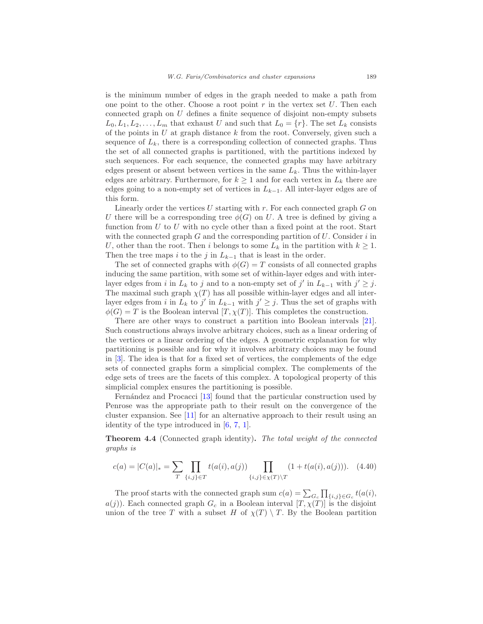is the minimum number of edges in the graph needed to make a path from one point to the other. Choose a root point  $r$  in the vertex set  $U$ . Then each connected graph on U defines a finite sequence of disjoint non-empty subsets  $L_0, L_1, L_2, \ldots, L_m$  that exhaust U and such that  $L_0 = \{r\}$ . The set  $L_k$  consists of the points in  $U$  at graph distance  $k$  from the root. Conversely, given such a sequence of  $L_k$ , there is a corresponding collection of connected graphs. Thus the set of all connected graphs is partitioned, with the partitions indexed by such sequences. For each sequence, the connected graphs may have arbitrary edges present or absent between vertices in the same  $L_k$ . Thus the within-layer edges are arbitrary. Furthermore, for  $k \geq 1$  and for each vertex in  $L_k$  there are edges going to a non-empty set of vertices in  $L_{k-1}$ . All inter-layer edges are of this form.

Linearly order the vertices  $U$  starting with  $r$ . For each connected graph  $G$  on U there will be a corresponding tree  $\phi(G)$  on U. A tree is defined by giving a function from  $U$  to  $U$  with no cycle other than a fixed point at the root. Start with the connected graph  $G$  and the corresponding partition of  $U$ . Consider  $i$  in U, other than the root. Then i belongs to some  $L_k$  in the partition with  $k \geq 1$ . Then the tree maps i to the j in  $L_{k-1}$  that is least in the order.

The set of connected graphs with  $\phi(G) = T$  consists of all connected graphs inducing the same partition, with some set of within-layer edges and with interlayer edges from *i* in  $L_k$  to *j* and to a non-empty set of *j'* in  $L_{k-1}$  with  $j' \ge j$ . The maximal such graph  $\chi(T)$  has all possible within-layer edges and all interlayer edges from i in  $L_k$  to j' in  $L_{k-1}$  with  $j' \geq j$ . Thus the set of graphs with  $\phi(G) = T$  is the Boolean interval  $[T, \chi(T)]$ . This completes the construction.

There are other ways to construct a partition into Boolean intervals [\[21\]](#page-49-13). Such constructions always involve arbitrary choices, such as a linear ordering of the vertices or a linear ordering of the edges. A geometric explanation for why partitioning is possible and for why it involves arbitrary choices may be found in [\[3\]](#page-48-7). The idea is that for a fixed set of vertices, the complements of the edge sets of connected graphs form a simplicial complex. The complements of the edge sets of trees are the facets of this complex. A topological property of this simplicial complex ensures the partitioning is possible.

Fernández and Procacci [\[13\]](#page-49-4) found that the particular construction used by Penrose was the appropriate path to their result on the convergence of the cluster expansion. See [\[11\]](#page-49-14) for an alternative approach to their result using an identity of the type introduced in [\[6,](#page-48-5) [7,](#page-49-9) [1\]](#page-48-6).

Theorem 4.4 (Connected graph identity). The total weight of the connected graphs is

$$
c(a) = |C(a)|_* = \sum_{T} \prod_{\{i,j\} \in T} t(a(i), a(j)) \prod_{\{i,j\} \in \chi(T) \backslash T} (1 + t(a(i), a(j))). \quad (4.40)
$$

The proof starts with the connected graph sum  $c(a) = \sum_{G_c} \prod_{\{i,j\} \in G_c} t(a(i))$ ,  $a(j)$ ). Each connected graph  $G_c$  in a Boolean interval  $[T, \chi(T)]$  is the disjoint union of the tree T with a subset H of  $\chi(T) \setminus T$ . By the Boolean partition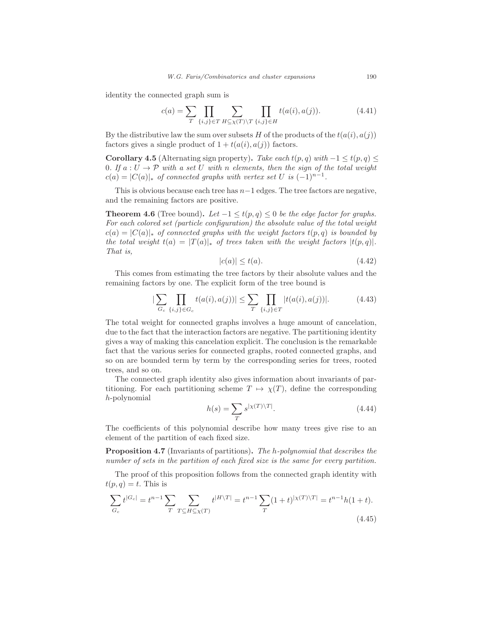identity the connected graph sum is

$$
c(a) = \sum_{T} \prod_{\{i,j\} \in T} \sum_{H \subseteq \chi(T) \backslash T} \prod_{\{i,j\} \in H} t(a(i), a(j)). \tag{4.41}
$$

By the distributive law the sum over subsets H of the products of the  $t(a(i), a(j))$ factors gives a single product of  $1 + t(a(i), a(j))$  factors.

**Corollary 4.5** (Alternating sign property). Take each  $t(p,q)$  with  $-1 \le t(p,q) \le$ 0. If  $a: U \to \mathcal{P}$  with a set U with n elements, then the sign of the total weight  $c(a) = |C(a)|_*$  of connected graphs with vertex set U is  $(-1)^{n-1}$ .

This is obvious because each tree has  $n-1$  edges. The tree factors are negative, and the remaining factors are positive.

**Theorem 4.6** (Tree bound). Let  $-1 \le t(p,q) \le 0$  be the edge factor for graphs. For each colored set (particle configuration) the absolute value of the total weight  $c(a) = |C(a)|_*$  of connected graphs with the weight factors  $t(p,q)$  is bounded by the total weight  $t(a) = |T(a)|_*$  of trees taken with the weight factors  $|t(p,q)|$ . That is,

$$
|c(a)| \le t(a). \tag{4.42}
$$

This comes from estimating the tree factors by their absolute values and the remaining factors by one. The explicit form of the tree bound is

$$
|\sum_{G_c} \prod_{\{i,j\} \in G_c} t(a(i), a(j))| \le \sum_{T} \prod_{\{i,j\} \in T} |t(a(i), a(j))|.
$$
 (4.43)

The total weight for connected graphs involves a huge amount of cancelation, due to the fact that the interaction factors are negative. The partitioning identity gives a way of making this cancelation explicit. The conclusion is the remarkable fact that the various series for connected graphs, rooted connected graphs, and so on are bounded term by term by the corresponding series for trees, rooted trees, and so on.

The connected graph identity also gives information about invariants of partitioning. For each partitioning scheme  $T \mapsto \chi(T)$ , define the corresponding h-polynomial

$$
h(s) = \sum_{T} s^{|X(T)\setminus T|}.\tag{4.44}
$$

The coefficients of this polynomial describe how many trees give rise to an element of the partition of each fixed size.

Proposition 4.7 (Invariants of partitions). The h-polynomial that describes the number of sets in the partition of each fixed size is the same for every partition.

The proof of this proposition follows from the connected graph identity with  $t(p,q) = t$ . This is

$$
\sum_{G_c} t^{|G_c|} = t^{n-1} \sum_{T} \sum_{T \subseteq H \subseteq \chi(T)} t^{|H \setminus T|} = t^{n-1} \sum_{T} (1+t)^{|\chi(T) \setminus T|} = t^{n-1} h(1+t).
$$
\n(4.45)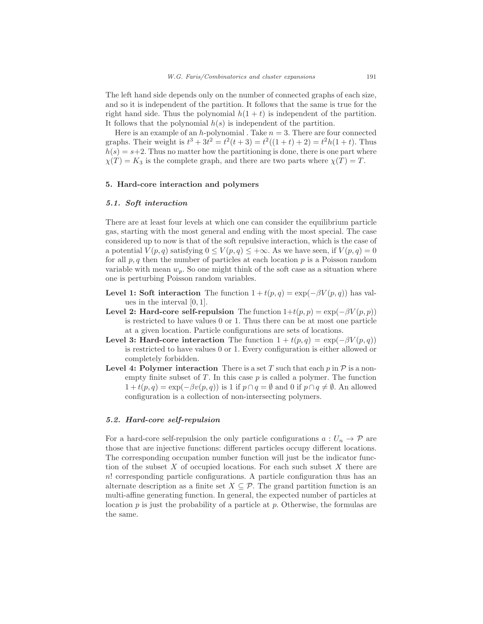The left hand side depends only on the number of connected graphs of each size, and so it is independent of the partition. It follows that the same is true for the right hand side. Thus the polynomial  $h(1 + t)$  is independent of the partition. It follows that the polynomial  $h(s)$  is independent of the partition.

Here is an example of an h-polynomial. Take  $n = 3$ . There are four connected graphs. Their weight is  $t^3 + 3t^2 = t^2(t+3) = t^2((1+t)+2) = t^2h(1+t)$ . Thus  $h(s) = s+2$ . Thus no matter how the partitioning is done, there is one part where  $\chi(T) = K_3$  is the complete graph, and there are two parts where  $\chi(T) = T$ .

#### <span id="page-34-1"></span><span id="page-34-0"></span>5. Hard-core interaction and polymers

# 5.1. Soft interaction

There are at least four levels at which one can consider the equilibrium particle gas, starting with the most general and ending with the most special. The case considered up to now is that of the soft repulsive interaction, which is the case of a potential  $V(p,q)$  satisfying  $0 \le V(p,q) \le +\infty$ . As we have seen, if  $V(p,q) = 0$ for all  $p, q$  then the number of particles at each location  $p$  is a Poisson random variable with mean  $w_p$ . So one might think of the soft case as a situation where one is perturbing Poisson random variables.

- **Level 1: Soft interaction** The function  $1 + t(p,q) = \exp(-\beta V(p,q))$  has values in the interval  $[0, 1]$ .
- **Level 2: Hard-core self-repulsion** The function  $1+t(p, p) = \exp(-\beta V(p, p))$ is restricted to have values 0 or 1. Thus there can be at most one particle at a given location. Particle configurations are sets of locations.
- **Level 3: Hard-core interaction** The function  $1 + t(p,q) = \exp(-\beta V(p,q))$ is restricted to have values 0 or 1. Every configuration is either allowed or completely forbidden.
- Level 4: Polymer interaction There is a set T such that each  $p$  in  $P$  is a nonempty finite subset of  $T$ . In this case  $p$  is called a polymer. The function  $1+t(p,q)=\exp(-\beta v(p,q))$  is 1 if  $p\cap q=\emptyset$  and 0 if  $p\cap q\neq\emptyset$ . An allowed configuration is a collection of non-intersecting polymers.

# <span id="page-34-2"></span>5.2. Hard-core self-repulsion

For a hard-core self-repulsion the only particle configurations  $a: U_n \to \mathcal{P}$  are those that are injective functions: different particles occupy different locations. The corresponding occupation number function will just be the indicator function of the subset  $X$  of occupied locations. For each such subset  $X$  there are n! corresponding particle configurations. A particle configuration thus has an alternate description as a finite set  $X \subseteq \mathcal{P}$ . The grand partition function is an multi-affine generating function. In general, the expected number of particles at location  $p$  is just the probability of a particle at  $p$ . Otherwise, the formulas are the same.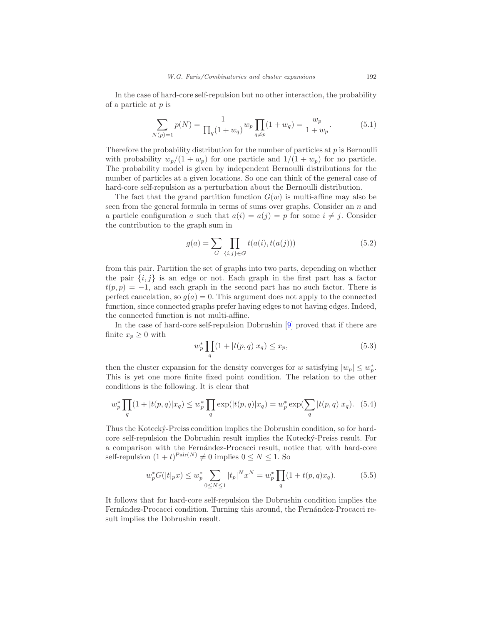In the case of hard-core self-repulsion but no other interaction, the probability of a particle at  $p$  is

$$
\sum_{N(p)=1} p(N) = \frac{1}{\prod_{q} (1+w_{q})} w_{p} \prod_{q \neq p} (1+w_{q}) = \frac{w_{p}}{1+w_{p}}.
$$
 (5.1)

Therefore the probability distribution for the number of particles at  $p$  is Bernoulli with probability  $w_p/(1 + w_p)$  for one particle and  $1/(1 + w_p)$  for no particle. The probability model is given by independent Bernoulli distributions for the number of particles at a given locations. So one can think of the general case of hard-core self-repulsion as a perturbation about the Bernoulli distribution.

The fact that the grand partition function  $G(w)$  is multi-affine may also be seen from the general formula in terms of sums over graphs. Consider an  $n$  and a particle configuration a such that  $a(i) = a(j) = p$  for some  $i \neq j$ . Consider the contribution to the graph sum in

$$
g(a) = \sum_{G} \prod_{\{i,j\} \in G} t(a(i), t(a(j)))
$$
\n(5.2)

from this pair. Partition the set of graphs into two parts, depending on whether the pair  $\{i, j\}$  is an edge or not. Each graph in the first part has a factor  $t(p, p) = -1$ , and each graph in the second part has no such factor. There is perfect cancelation, so  $g(a) = 0$ . This argument does not apply to the connected function, since connected graphs prefer having edges to not having edges. Indeed, the connected function is not multi-affine.

In the case of hard-core self-repulsion Dobrushin [\[9\]](#page-49-6) proved that if there are finite  $x_p \geq 0$  with

$$
w_p^* \prod_q (1 + |t(p, q)| x_q) \le x_p,
$$
\n(5.3)

then the cluster expansion for the density converges for w satisfying  $|w_p| \leq w_p^*$ . This is yet one more finite fixed point condition. The relation to the other conditions is the following. It is clear that

$$
w_p^* \prod_q (1 + |t(p,q)|x_q) \le w_p^* \prod_q \exp(|t(p,q)|x_q) = w_p^* \exp(\sum_q |t(p,q)|x_q). \tag{5.4}
$$

Thus the Kotecký-Preiss condition implies the Dobrushin condition, so for hardcore self-repulsion the Dobrushin result implies the Koteck´y-Preiss result. For a comparison with the Fernández-Procacci result, notice that with hard-core self-repulsion  $(1+t)^{\text{Pair}(N)} \neq 0$  implies  $0 \leq N \leq 1$ . So

$$
w_p^* G(|t|_p x) \le w_p^* \sum_{0 \le N \le 1} |t_p|^N x^N = w_p^* \prod_q (1 + t(p, q) x_q). \tag{5.5}
$$

It follows that for hard-core self-repulsion the Dobrushin condition implies the Fernández-Procacci condition. Turning this around, the Fernández-Procacci result implies the Dobrushin result.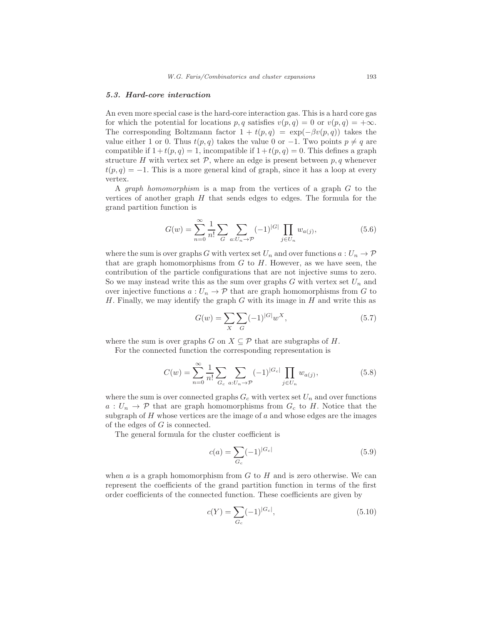#### <span id="page-36-0"></span>5.3. Hard-core interaction

An even more special case is the hard-core interaction gas. This is a hard core gas for which the potential for locations p, q satisfies  $v(p, q) = 0$  or  $v(p, q) = +\infty$ . The corresponding Boltzmann factor  $1 + t(p,q) = \exp(-\beta v(p,q))$  takes the value either 1 or 0. Thus  $t(p, q)$  takes the value 0 or -1. Two points  $p \neq q$  are compatible if  $1+t(p,q)=1$ , incompatible if  $1+t(p,q)=0$ . This defines a graph structure  $H$  with vertex set  $P$ , where an edge is present between  $p, q$  whenever  $t(p,q) = -1$ . This is a more general kind of graph, since it has a loop at every vertex.

A graph homomorphism is a map from the vertices of a graph G to the vertices of another graph  $H$  that sends edges to edges. The formula for the grand partition function is

$$
G(w) = \sum_{n=0}^{\infty} \frac{1}{n!} \sum_{G} \sum_{a:U_n \to \mathcal{P}} (-1)^{|G|} \prod_{j \in U_n} w_{a(j)},
$$
(5.6)

where the sum is over graphs G with vertex set  $U_n$  and over functions  $a: U_n \to \mathcal{P}$ that are graph homomorphisms from  $G$  to  $H$ . However, as we have seen, the contribution of the particle configurations that are not injective sums to zero. So we may instead write this as the sum over graphs  $G$  with vertex set  $U_n$  and over injective functions  $a: U_n \to \mathcal{P}$  that are graph homomorphisms from G to H. Finally, we may identify the graph  $G$  with its image in  $H$  and write this as

$$
G(w) = \sum_{X} \sum_{G} (-1)^{|G|} w^X,
$$
\n(5.7)

where the sum is over graphs G on  $X \subseteq \mathcal{P}$  that are subgraphs of H.

For the connected function the corresponding representation is

$$
C(w) = \sum_{n=0}^{\infty} \frac{1}{n!} \sum_{G_c} \sum_{a:U_n \to \mathcal{P}} (-1)^{|G_c|} \prod_{j \in U_n} w_{a(j)},
$$
(5.8)

where the sum is over connected graphs  $G_c$  with vertex set  $U_n$  and over functions  $a: U_n \to \mathcal{P}$  that are graph homomorphisms from  $G_c$  to H. Notice that the subgraph of  $H$  whose vertices are the image of  $a$  and whose edges are the images of the edges of  $G$  is connected.

The general formula for the cluster coefficient is

$$
c(a) = \sum_{G_c} (-1)^{|G_c|} \tag{5.9}
$$

when  $a$  is a graph homomorphism from  $G$  to  $H$  and is zero otherwise. We can represent the coefficients of the grand partition function in terms of the first order coefficients of the connected function. These coefficients are given by

$$
c(Y) = \sum_{G_c} (-1)^{|G_c|},\tag{5.10}
$$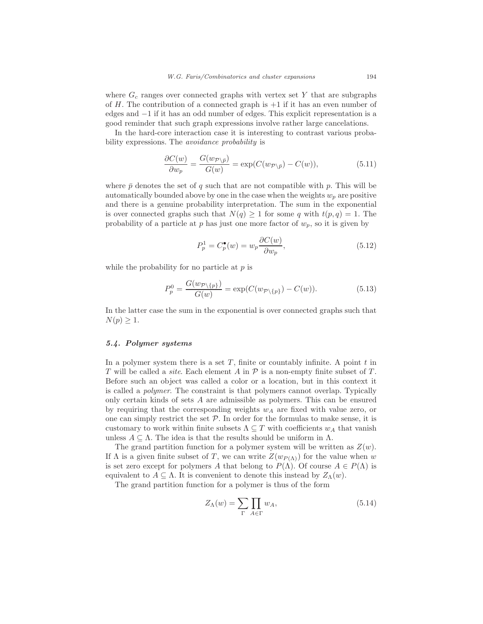where  $G_c$  ranges over connected graphs with vertex set Y that are subgraphs of  $H$ . The contribution of a connected graph is  $+1$  if it has an even number of edges and −1 if it has an odd number of edges. This explicit representation is a good reminder that such graph expressions involve rather large cancelations.

In the hard-core interaction case it is interesting to contrast various probability expressions. The avoidance probability is

$$
\frac{\partial C(w)}{\partial w_p} = \frac{G(w_{\mathcal{P}\setminus\bar{p}})}{G(w)} = \exp(C(w_{\mathcal{P}\setminus\bar{p}}) - C(w)),\tag{5.11}
$$

where  $\bar{p}$  denotes the set of q such that are not compatible with p. This will be automatically bounded above by one in the case when the weights  $w_p$  are positive and there is a genuine probability interpretation. The sum in the exponential is over connected graphs such that  $N(q) \geq 1$  for some q with  $t(p,q) = 1$ . The probability of a particle at p has just one more factor of  $w_p$ , so it is given by

$$
P_p^1 = C_p^{\bullet}(w) = w_p \frac{\partial C(w)}{\partial w_p},\tag{5.12}
$$

while the probability for no particle at  $p$  is

$$
P_p^0 = \frac{G(w_{\mathcal{P}\setminus\{p\}})}{G(w)} = \exp(C(w_{\mathcal{P}\setminus\{p\}}) - C(w)).
$$
\n(5.13)

In the latter case the sum in the exponential is over connected graphs such that  $N(p) \geq 1$ .

# <span id="page-37-0"></span>5.4. Polymer systems

In a polymer system there is a set  $T$ , finite or countably infinite. A point  $t$  in T will be called a *site*. Each element A in  $P$  is a non-empty finite subset of T. Before such an object was called a color or a location, but in this context it is called a polymer. The constraint is that polymers cannot overlap. Typically only certain kinds of sets A are admissible as polymers. This can be ensured by requiring that the corresponding weights  $w_A$  are fixed with value zero, or one can simply restrict the set  $P$ . In order for the formulas to make sense, it is customary to work within finite subsets  $\Lambda \subseteq T$  with coefficients  $w_A$  that vanish unless  $A \subseteq \Lambda$ . The idea is that the results should be uniform in  $\Lambda$ .

The grand partition function for a polymer system will be written as  $Z(w)$ . If  $\Lambda$  is a given finite subset of T, we can write  $Z(w_{P(\Lambda)})$  for the value when w is set zero except for polymers A that belong to  $P(\Lambda)$ . Of course  $A \in P(\Lambda)$  is equivalent to  $A \subseteq \Lambda$ . It is convenient to denote this instead by  $Z_{\Lambda}(w)$ .

The grand partition function for a polymer is thus of the form

$$
Z_{\Lambda}(w) = \sum_{\Gamma} \prod_{A \in \Gamma} w_A, \tag{5.14}
$$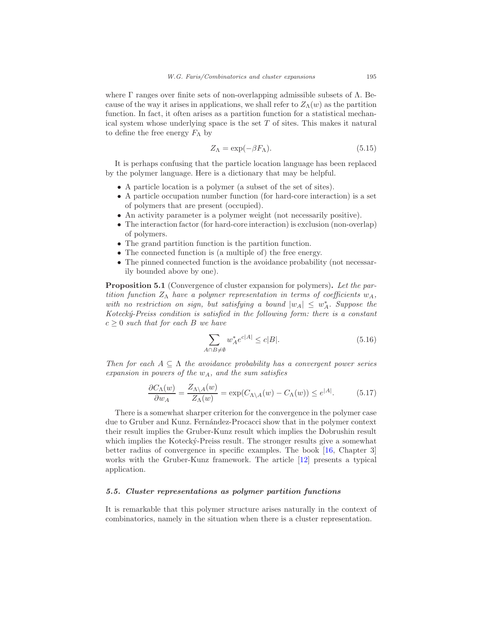where  $\Gamma$  ranges over finite sets of non-overlapping admissible subsets of  $\Lambda$ . Because of the way it arises in applications, we shall refer to  $Z_{\Lambda}(w)$  as the partition function. In fact, it often arises as a partition function for a statistical mechanical system whose underlying space is the set T of sites. This makes it natural to define the free energy  $F_{\Lambda}$  by

$$
Z_{\Lambda} = \exp(-\beta F_{\Lambda}).\tag{5.15}
$$

It is perhaps confusing that the particle location language has been replaced by the polymer language. Here is a dictionary that may be helpful.

- A particle location is a polymer (a subset of the set of sites).
- A particle occupation number function (for hard-core interaction) is a set of polymers that are present (occupied).
- An activity parameter is a polymer weight (not necessarily positive).
- The interaction factor (for hard-core interaction) is exclusion (non-overlap) of polymers.
- The grand partition function is the partition function.
- The connected function is (a multiple of) the free energy.
- The pinned connected function is the avoidance probability (not necessarily bounded above by one).

Proposition 5.1 (Convergence of cluster expansion for polymers). Let the partition function  $Z_{\Lambda}$  have a polymer representation in terms of coefficients  $w_A$ , with no restriction on sign, but satisfying a bound  $|w_A| \leq w_A^*$ . Suppose the Kotecký-Preiss condition is satisfied in the following form: there is a constant  $c \geq 0$  such that for each B we have

$$
\sum_{A \cap B \neq \emptyset} w_A^* e^{c|A|} \le c|B|. \tag{5.16}
$$

Then for each  $A \subseteq \Lambda$  the avoidance probability has a convergent power series expansion in powers of the  $w_A$ , and the sum satisfies

$$
\frac{\partial C_{\Lambda}(w)}{\partial w_{A}} = \frac{Z_{\Lambda \setminus A}(w)}{Z_{\Lambda}(w)} = \exp(C_{\Lambda \setminus A}(w) - C_{\Lambda}(w)) \le e^{|A|}.\tag{5.17}
$$

There is a somewhat sharper criterion for the convergence in the polymer case due to Gruber and Kunz. Fernández-Procacci show that in the polymer context their result implies the Gruber-Kunz result which implies the Dobrushin result which implies the Kotecky-Preiss result. The stronger results give a somewhat better radius of convergence in specific examples. The book [\[16,](#page-49-0) Chapter 3] works with the Gruber-Kunz framework. The article [\[12\]](#page-49-15) presents a typical application.

# <span id="page-38-0"></span>5.5. Cluster representations as polymer partition functions

It is remarkable that this polymer structure arises naturally in the context of combinatorics, namely in the situation when there is a cluster representation.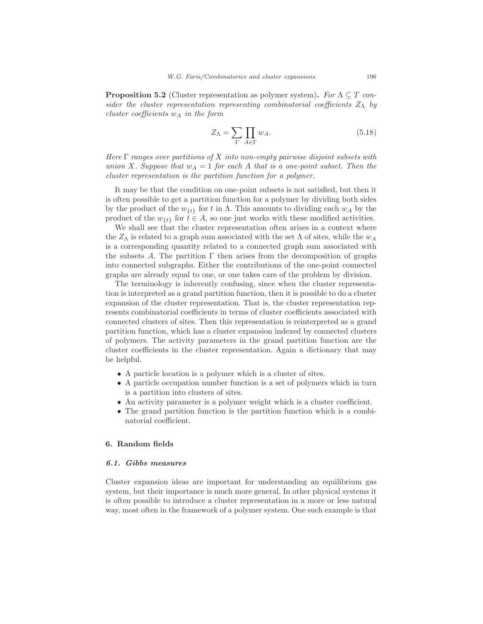**Proposition 5.2** (Cluster representation as polymer system). For  $\Lambda \subseteq T$  consider the cluster representation representing combinatorial coefficients  $Z_{\Lambda}$  by cluster coefficients  $w_A$  in the form

$$
Z_{\Lambda} = \sum_{\Gamma} \prod_{A \in \Gamma} w_A.
$$
 (5.18)

Here  $\Gamma$  ranges over partitions of X into non-empty pairwise disjoint subsets with union X. Suppose that  $w_A = 1$  for each A that is a one-point subset. Then the cluster representation is the partition function for a polymer.

It may be that the condition on one-point subsets is not satisfied, but then it is often possible to get a partition function for a polymer by dividing both sides by the product of the  $w_{\{t\}}$  for t in  $\Lambda$ . This amounts to dividing each  $w_A$  by the product of the  $w_{\{t\}}$  for  $t \in A$ , so one just works with these modified activities.

We shall see that the cluster representation often arises in a context where the  $Z_{\Lambda}$  is related to a graph sum associated with the set  $\Lambda$  of sites, while the  $w_A$ is a corresponding quantity related to a connected graph sum associated with the subsets A. The partition  $\Gamma$  then arises from the decomposition of graphs into connected subgraphs. Either the contributions of the one-point connected graphs are already equal to one, or one takes care of the problem by division.

The terminology is inherently confusing, since when the cluster representation is interpreted as a grand partition function, then it is possible to do a cluster expansion of the cluster representation. That is, the cluster representation represents combinatorial coefficients in terms of cluster coefficients associated with connected clusters of sites. Then this representation is reinterpreted as a grand partition function, which has a cluster expansion indexed by connected clusters of polymers. The activity parameters in the grand partition function are the cluster coefficients in the cluster representation. Again a dictionary that may be helpful.

- A particle location is a polymer which is a cluster of sites.
- A particle occupation number function is a set of polymers which in turn is a partition into clusters of sites.
- An activity parameter is a polymer weight which is a cluster coefficient.
- The grand partition function is the partition function which is a combinatorial coefficient.

#### <span id="page-39-1"></span><span id="page-39-0"></span>6. Random fields

### 6.1. Gibbs measures

Cluster expansion ideas are important for understanding an equilibrium gas system, but their importance is much more general. In other physical systems it is often possible to introduce a cluster representation in a more or less natural way, most often in the framework of a polymer system. One such example is that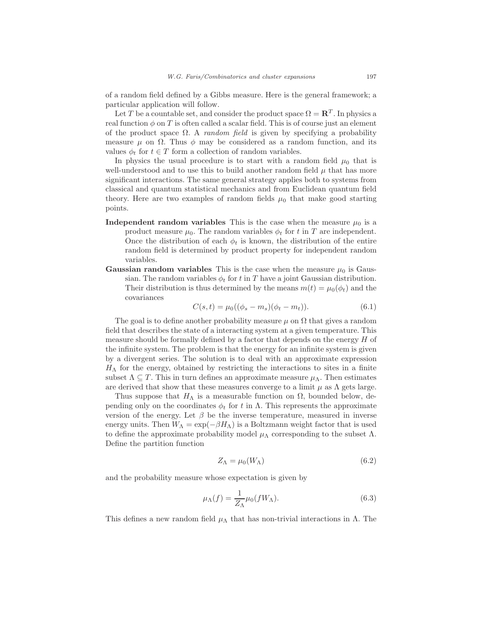of a random field defined by a Gibbs measure. Here is the general framework; a particular application will follow.

Let T be a countable set, and consider the product space  $\Omega = \mathbb{R}^T$ . In physics a real function  $\phi$  on T is often called a scalar field. This is of course just an element of the product space  $\Omega$ . A *random field* is given by specifying a probability measure  $\mu$  on  $\Omega$ . Thus  $\phi$  may be considered as a random function, and its values  $\phi_t$  for  $t \in T$  form a collection of random variables.

In physics the usual procedure is to start with a random field  $\mu_0$  that is well-understood and to use this to build another random field  $\mu$  that has more significant interactions. The same general strategy applies both to systems from classical and quantum statistical mechanics and from Euclidean quantum field theory. Here are two examples of random fields  $\mu_0$  that make good starting points.

- **Independent random variables** This is the case when the measure  $\mu_0$  is a product measure  $\mu_0$ . The random variables  $\phi_t$  for t in T are independent. Once the distribution of each  $\phi_t$  is known, the distribution of the entire random field is determined by product property for independent random variables.
- Gaussian random variables This is the case when the measure  $\mu_0$  is Gaussian. The random variables  $\phi_t$  for t in T have a joint Gaussian distribution. Their distribution is thus determined by the means  $m(t) = \mu_0(\phi_t)$  and the covariances

$$
C(s,t) = \mu_0((\phi_s - m_s)(\phi_t - m_t)).
$$
\n(6.1)

The goal is to define another probability measure  $\mu$  on  $\Omega$  that gives a random field that describes the state of a interacting system at a given temperature. This measure should be formally defined by a factor that depends on the energy H of the infinite system. The problem is that the energy for an infinite system is given by a divergent series. The solution is to deal with an approximate expression  $H_{\Lambda}$  for the energy, obtained by restricting the interactions to sites in a finite subset  $\Lambda \subseteq T$ . This in turn defines an approximate measure  $\mu_{\Lambda}$ . Then estimates are derived that show that these measures converge to a limit  $\mu$  as  $\Lambda$  gets large.

Thus suppose that  $H_{\Lambda}$  is a measurable function on  $\Omega$ , bounded below, depending only on the coordinates  $\phi_t$  for t in  $\Lambda$ . This represents the approximate version of the energy. Let  $\beta$  be the inverse temperature, measured in inverse energy units. Then  $W_{\Lambda} = \exp(-\beta H_{\Lambda})$  is a Boltzmann weight factor that is used to define the approximate probability model  $\mu_{\Lambda}$  corresponding to the subset  $\Lambda$ . Define the partition function

$$
Z_{\Lambda} = \mu_0(W_{\Lambda}) \tag{6.2}
$$

and the probability measure whose expectation is given by

$$
\mu_{\Lambda}(f) = \frac{1}{Z_{\Lambda}} \mu_0(fW_{\Lambda}). \tag{6.3}
$$

This defines a new random field  $\mu_{\Lambda}$  that has non-trivial interactions in  $\Lambda$ . The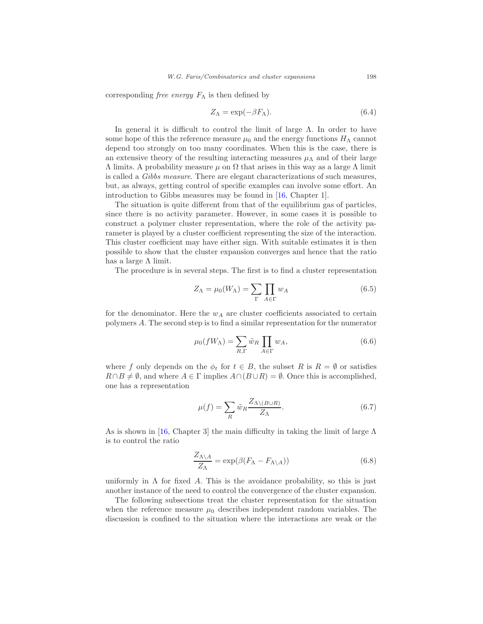corresponding *free energy*  $F_{\Lambda}$  is then defined by

$$
Z_{\Lambda} = \exp(-\beta F_{\Lambda}).\tag{6.4}
$$

In general it is difficult to control the limit of large  $\Lambda$ . In order to have some hope of this the reference measure  $\mu_0$  and the energy functions  $H_\Lambda$  cannot depend too strongly on too many coordinates. When this is the case, there is an extensive theory of the resulting interacting measures  $\mu_{\Lambda}$  and of their large  $Λ$  limits. A probability measure  $μ$  on  $Ω$  that arises in this way as a large  $Λ$  limit is called a Gibbs measure. There are elegant characterizations of such measures, but, as always, getting control of specific examples can involve some effort. An introduction to Gibbs measures may be found in [\[16,](#page-49-0) Chapter 1].

The situation is quite different from that of the equilibrium gas of particles, since there is no activity parameter. However, in some cases it is possible to construct a polymer cluster representation, where the role of the activity parameter is played by a cluster coefficient representing the size of the interaction. This cluster coefficient may have either sign. With suitable estimates it is then possible to show that the cluster expansion converges and hence that the ratio has a large  $\Lambda$  limit.

The procedure is in several steps. The first is to find a cluster representation

$$
Z_{\Lambda} = \mu_0(W_{\Lambda}) = \sum_{\Gamma} \prod_{A \in \Gamma} w_A \tag{6.5}
$$

for the denominator. Here the  $w_A$  are cluster coefficients associated to certain polymers A. The second step is to find a similar representation for the numerator

$$
\mu_0(fW_\Lambda) = \sum_{R,\Gamma} \tilde{w}_R \prod_{A \in \Gamma} w_A,\tag{6.6}
$$

where f only depends on the  $\phi_t$  for  $t \in B$ , the subset R is  $R = \emptyset$  or satisfies  $R \cap B \neq \emptyset$ , and where  $A \in \Gamma$  implies  $A \cap (B \cup R) = \emptyset$ . Once this is accomplished, one has a representation

$$
\mu(f) = \sum_{R} \tilde{w}_R \frac{Z_{\Lambda \setminus (B \cup R)}}{Z_{\Lambda}}.
$$
\n(6.7)

As is shown in [\[16,](#page-49-0) Chapter 3] the main difficulty in taking the limit of large  $\Lambda$ is to control the ratio

$$
\frac{Z_{\Lambda\setminus A}}{Z_{\Lambda}} = \exp(\beta (F_{\Lambda} - F_{\Lambda\setminus A})) \tag{6.8}
$$

uniformly in  $\Lambda$  for fixed A. This is the avoidance probability, so this is just another instance of the need to control the convergence of the cluster expansion.

The following subsections treat the cluster representation for the situation when the reference measure  $\mu_0$  describes independent random variables. The discussion is confined to the situation where the interactions are weak or the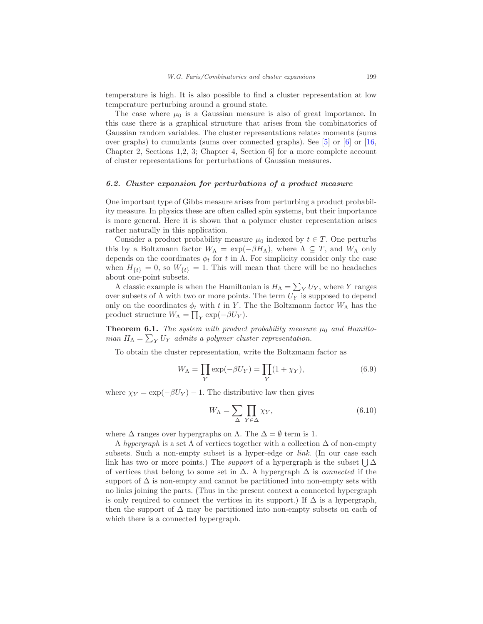temperature is high. It is also possible to find a cluster representation at low temperature perturbing around a ground state.

The case where  $\mu_0$  is a Gaussian measure is also of great importance. In this case there is a graphical structure that arises from the combinatorics of Gaussian random variables. The cluster representations relates moments (sums over graphs) to cumulants (sums over connected graphs). See [\[5\]](#page-48-4) or [\[6\]](#page-48-5) or [\[16,](#page-49-0) Chapter 2, Sections 1,2, 3; Chapter 4, Section 6] for a more complete account of cluster representations for perturbations of Gaussian measures.

# <span id="page-42-0"></span>6.2. Cluster expansion for perturbations of a product measure

One important type of Gibbs measure arises from perturbing a product probability measure. In physics these are often called spin systems, but their importance is more general. Here it is shown that a polymer cluster representation arises rather naturally in this application.

Consider a product probability measure  $\mu_0$  indexed by  $t \in T$ . One perturbs this by a Boltzmann factor  $W_{\Lambda} = \exp(-\beta H_{\Lambda})$ , where  $\Lambda \subseteq T$ , and  $W_{\Lambda}$  only depends on the coordinates  $\phi_t$  for t in  $\Lambda$ . For simplicity consider only the case when  $H_{\{t\}} = 0$ , so  $W_{\{t\}} = 1$ . This will mean that there will be no headaches about one-point subsets.

A classic example is when the Hamiltonian is  $H_{\Lambda} = \sum_{Y} U_{Y}$ , where Y ranges over subsets of  $\Lambda$  with two or more points. The term  $U_Y$  is supposed to depend only on the coordinates  $\phi_t$  with t in Y. The the Boltzmann factor  $W_\Lambda$  has the product structure  $W_{\Lambda} = \prod_{Y} \exp(-\beta U_{Y}).$ 

**Theorem 6.1.** The system with product probability measure  $\mu_0$  and Hamiltonian  $H_{\Lambda} = \sum_{Y} U_{Y}$  admits a polymer cluster representation.

To obtain the cluster representation, write the Boltzmann factor as

$$
W_{\Lambda} = \prod_{Y} \exp(-\beta U_{Y}) = \prod_{Y} (1 + \chi_{Y}), \qquad (6.9)
$$

where  $\chi_Y = \exp(-\beta U_Y) - 1$ . The distributive law then gives

$$
W_{\Lambda} = \sum_{\Delta} \prod_{Y \in \Delta} \chi_Y,\tag{6.10}
$$

where  $\Delta$  ranges over hypergraphs on  $\Lambda$ . The  $\Delta = \emptyset$  term is 1.

A hypergraph is a set  $\Lambda$  of vertices together with a collection  $\Delta$  of non-empty subsets. Such a non-empty subset is a hyper-edge or *link*. (In our case each link has two or more points.) The *support* of a hypergraph is the subset  $\bigcup \Delta$ of vertices that belong to some set in  $\Delta$ . A hypergraph  $\Delta$  is *connected* if the support of  $\Delta$  is non-empty and cannot be partitioned into non-empty sets with no links joining the parts. (Thus in the present context a connected hypergraph is only required to connect the vertices in its support.) If  $\Delta$  is a hypergraph, then the support of  $\Delta$  may be partitioned into non-empty subsets on each of which there is a connected hypergraph.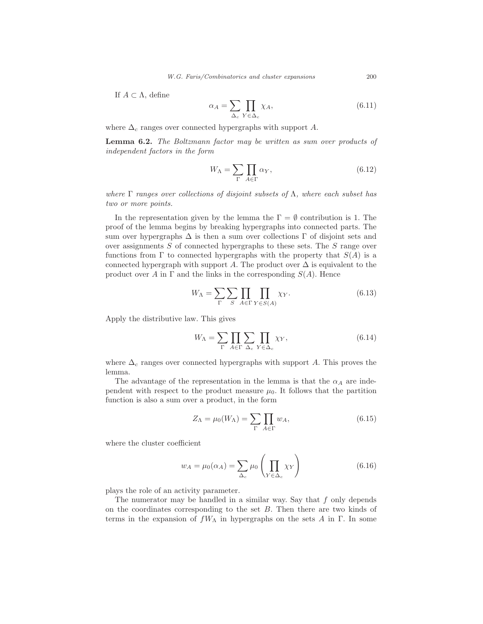If  $A \subset \Lambda$ , define

$$
\alpha_A = \sum_{\Delta_c} \prod_{Y \in \Delta_c} \chi_A,\tag{6.11}
$$

where  $\Delta_c$  ranges over connected hypergraphs with support A.

Lemma 6.2. The Boltzmann factor may be written as sum over products of independent factors in the form

$$
W_{\Lambda} = \sum_{\Gamma} \prod_{A \in \Gamma} \alpha_Y, \qquad (6.12)
$$

where  $\Gamma$  ranges over collections of disjoint subsets of  $\Lambda$ , where each subset has two or more points.

In the representation given by the lemma the  $\Gamma = \emptyset$  contribution is 1. The proof of the lemma begins by breaking hypergraphs into connected parts. The sum over hypergraphs  $\Delta$  is then a sum over collections  $\Gamma$  of disjoint sets and over assignments S of connected hypergraphs to these sets. The S range over functions from  $\Gamma$  to connected hypergraphs with the property that  $S(A)$  is a connected hypergraph with support A. The product over  $\Delta$  is equivalent to the product over A in  $\Gamma$  and the links in the corresponding  $S(A)$ . Hence

$$
W_{\Lambda} = \sum_{\Gamma} \sum_{S} \prod_{A \in \Gamma} \prod_{Y \in S(A)} \chi_Y.
$$
 (6.13)

Apply the distributive law. This gives

$$
W_{\Lambda} = \sum_{\Gamma} \prod_{A \in \Gamma} \sum_{\Delta_c} \prod_{Y \in \Delta_c} \chi_Y, \tag{6.14}
$$

where  $\Delta_c$  ranges over connected hypergraphs with support A. This proves the lemma.

The advantage of the representation in the lemma is that the  $\alpha_A$  are independent with respect to the product measure  $\mu_0$ . It follows that the partition function is also a sum over a product, in the form

$$
Z_{\Lambda} = \mu_0(W_{\Lambda}) = \sum_{\Gamma} \prod_{A \in \Gamma} w_A, \qquad (6.15)
$$

where the cluster coefficient

$$
w_A = \mu_0(\alpha_A) = \sum_{\Delta_c} \mu_0 \left( \prod_{Y \in \Delta_c} \chi_Y \right) \tag{6.16}
$$

plays the role of an activity parameter.

The numerator may be handled in a similar way. Say that  $f$  only depends on the coordinates corresponding to the set  $B$ . Then there are two kinds of terms in the expansion of  $fW_{\Lambda}$  in hypergraphs on the sets A in Γ. In some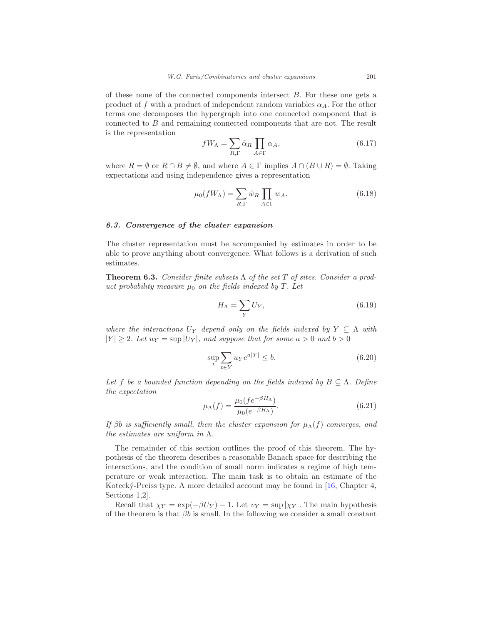of these none of the connected components intersect B. For these one gets a product of f with a product of independent random variables  $\alpha_A$ . For the other terms one decomposes the hypergraph into one connected component that is connected to B and remaining connected components that are not. The result is the representation

$$
fW_{\Lambda} = \sum_{R,\Gamma} \tilde{\alpha}_R \prod_{A \in \Gamma} \alpha_A, \tag{6.17}
$$

where  $R = \emptyset$  or  $R \cap B \neq \emptyset$ , and where  $A \in \Gamma$  implies  $A \cap (B \cup R) = \emptyset$ . Taking expectations and using independence gives a representation

$$
\mu_0(fW_\Lambda) = \sum_{R,\Gamma} \tilde{w}_R \prod_{A \in \Gamma} w_A.
$$
\n(6.18)

# <span id="page-44-0"></span>6.3. Convergence of the cluster expansion

The cluster representation must be accompanied by estimates in order to be able to prove anything about convergence. What follows is a derivation of such estimates.

**Theorem 6.3.** Consider finite subsets  $\Lambda$  of the set T of sites. Consider a product probability measure  $\mu_0$  on the fields indexed by T. Let

$$
H_{\Lambda} = \sum_{Y} U_{Y},\tag{6.19}
$$

where the interactions  $U_Y$  depend only on the fields indexed by  $Y \subseteq \Lambda$  with  $|Y| \geq 2$ . Let  $u_Y = \sup |U_Y|$ , and suppose that for some  $a > 0$  and  $b > 0$ 

$$
\sup_{t} \sum_{t \in Y} u_Y e^{a|Y|} \le b. \tag{6.20}
$$

Let f be a bounded function depending on the fields indexed by  $B \subseteq \Lambda$ . Define the expectation

$$
\mu_{\Lambda}(f) = \frac{\mu_0 (f e^{-\beta H_{\Lambda}})}{\mu_0 (e^{-\beta H_{\Lambda}})}.
$$
\n(6.21)

If βb is sufficiently small, then the cluster expansion for  $\mu_{\Lambda}(f)$  converges, and the estimates are uniform in  $\Lambda$ .

The remainder of this section outlines the proof of this theorem. The hypothesis of the theorem describes a reasonable Banach space for describing the interactions, and the condition of small norm indicates a regime of high temperature or weak interaction. The main task is to obtain an estimate of the Koteck´y-Preiss type. A more detailed account may be found in [\[16,](#page-49-0) Chapter 4, Sections 1,2].

Recall that  $\chi_Y = \exp(-\beta U_Y) - 1$ . Let  $v_Y = \sup |\chi_Y|$ . The main hypothesis of the theorem is that  $\beta b$  is small. In the following we consider a small constant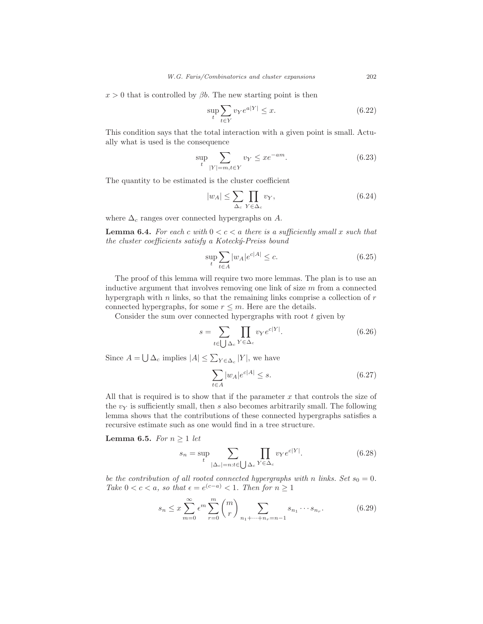$x > 0$  that is controlled by  $\beta b$ . The new starting point is then

$$
\sup_{t} \sum_{t \in Y} v_Y e^{a|Y|} \le x.
$$
\n(6.22)

This condition says that the total interaction with a given point is small. Actually what is used is the consequence

$$
\sup_{t} \sum_{|Y|=m, t \in Y} v_Y \le x e^{-am}.\tag{6.23}
$$

The quantity to be estimated is the cluster coefficient

$$
|w_A| \le \sum_{\Delta_c} \prod_{Y \in \Delta_c} v_Y,\tag{6.24}
$$

where  $\Delta_c$  ranges over connected hypergraphs on A.

**Lemma 6.4.** For each c with  $0 < c < a$  there is a sufficiently small x such that  $the cluster coefficients satisfy a Koteck\acute{v} - Preiss bound$ 

$$
\sup_{t} \sum_{t \in A} |w_A| e^{c|A|} \le c. \tag{6.25}
$$

The proof of this lemma will require two more lemmas. The plan is to use an inductive argument that involves removing one link of size  $m$  from a connected hypergraph with  $n$  links, so that the remaining links comprise a collection of  $r$ connected hypergraphs, for some  $r \leq m$ . Here are the details.

Consider the sum over connected hypergraphs with root  $t$  given by

$$
s = \sum_{t \in \bigcup \Delta_c} \prod_{Y \in \Delta_c} v_Y e^{c|Y|}.
$$
 (6.26)

Since  $A = \bigcup \Delta_c$  implies  $|A| \leq \sum_{Y \in \Delta_c} |Y|$ , we have

$$
\sum_{t \in A} |w_A|e^{c|A|} \le s. \tag{6.27}
$$

All that is required is to show that if the parameter  $x$  that controls the size of the  $v_Y$  is sufficiently small, then s also becomes arbitrarily small. The following lemma shows that the contributions of these connected hypergraphs satisfies a recursive estimate such as one would find in a tree structure.

Lemma 6.5. For  $n \geq 1$  let

$$
s_n = \sup_{t} \sum_{|\Delta_c| = n: t \in \bigcup \Delta_c} \prod_{Y \in \Delta_c} v_Y e^{c|Y|}.
$$
 (6.28)

be the contribution of all rooted connected hypergraphs with n links. Set  $s_0 = 0$ . Take  $0 < c < a$ , so that  $\epsilon = e^{(c-a)} < 1$ . Then for  $n \ge 1$ 

$$
s_n \le x \sum_{m=0}^{\infty} \epsilon^m \sum_{r=0}^m \binom{m}{r} \sum_{n_1 + \dots + n_r = n-1} s_{n_1} \cdots s_{n_r}.
$$
 (6.29)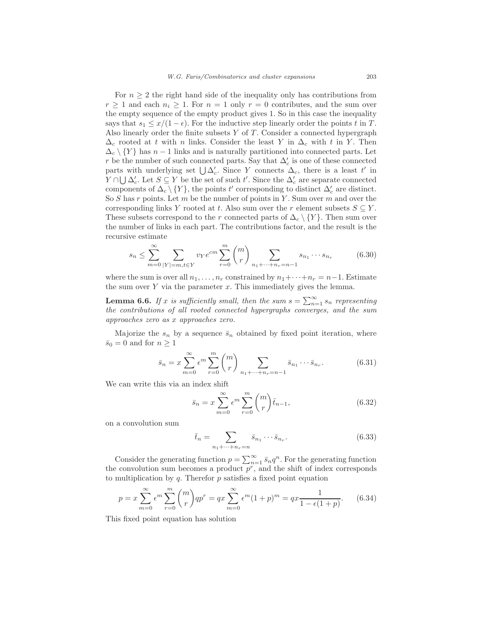For  $n \geq 2$  the right hand side of the inequality only has contributions from  $r \geq 1$  and each  $n_i \geq 1$ . For  $n = 1$  only  $r = 0$  contributes, and the sum over the empty sequence of the empty product gives 1. So in this case the inequality says that  $s_1 \leq x/(1-\epsilon)$ . For the inductive step linearly order the points t in T. Also linearly order the finite subsets  $Y$  of  $T$ . Consider a connected hypergraph  $\Delta_c$  rooted at t with n links. Consider the least Y in  $\Delta_c$  with t in Y. Then  $\Delta_c \setminus \{Y\}$  has  $n-1$  links and is naturally partitioned into connected parts. Let r be the number of such connected parts. Say that  $\Delta'_c$  is one of these connected parts with underlying set  $\bigcup \Delta'_{c}$ . Since Y connects  $\Delta_{c}$ , there is a least t' in  $Y \cap \bigcup \Delta'_{c}$ . Let  $S \subseteq Y$  be the set of such t'. Since the  $\Delta'_{c}$  are separate connected components of  $\Delta_c \setminus \{Y\}$ , the points t' corresponding to distinct  $\Delta'_c$  are distinct. So S has r points. Let m be the number of points in Y. Sum over m and over the corresponding links Y rooted at t. Also sum over the r element subsets  $S \subseteq Y$ . These subsets correspond to the r connected parts of  $\Delta_c \setminus \{Y\}$ . Then sum over the number of links in each part. The contributions factor, and the result is the recursive estimate

$$
s_n \le \sum_{m=0}^{\infty} \sum_{|Y|=m, t \in Y} v_Y e^{cm} \sum_{r=0}^{m} {m \choose r} \sum_{n_1 + \dots + n_r = n-1} s_{n_1} \dots s_{n_r}
$$
(6.30)

where the sum is over all  $n_1, \ldots, n_r$  constrained by  $n_1 + \cdots + n_r = n-1$ . Estimate the sum over Y via the parameter x. This immediately gives the lemma.

**Lemma 6.6.** If x is sufficiently small, then the sum  $s = \sum_{n=1}^{\infty} s_n$  representing the contributions of all rooted connected hypergraphs converges, and the sum approaches zero as x approaches zero.

Majorize the  $s_n$  by a sequence  $\bar{s}_n$  obtained by fixed point iteration, where  $\bar{s}_0 = 0$  and for  $n \geq 1$ 

$$
\bar{s}_n = x \sum_{m=0}^{\infty} \epsilon^m \sum_{r=0}^m \binom{m}{r} \sum_{n_1 + \dots + n_r = n-1} \bar{s}_{n_1} \cdots \bar{s}_{n_r}.
$$
 (6.31)

We can write this via an index shift

$$
\bar{s}_n = x \sum_{m=0}^{\infty} \epsilon^m \sum_{r=0}^m \binom{m}{r} \bar{t}_{n-1},\tag{6.32}
$$

on a convolution sum

$$
\bar{t}_n = \sum_{n_1 + \dots + n_r = n} \bar{s}_{n_1} \cdots \bar{s}_{n_r}.
$$
\n(6.33)

Consider the generating function  $p = \sum_{n=1}^{\infty} \bar{s}_n q^n$ . For the generating function the convolution sum becomes a product  $p^r$ , and the shift of index corresponds to multiplication by q. Therefor  $p$  satisfies a fixed point equation

$$
p = x \sum_{m=0}^{\infty} \epsilon^m \sum_{r=0}^m \binom{m}{r} qp^r = qx \sum_{m=0}^{\infty} \epsilon^m (1+p)^m = qx \frac{1}{1 - \epsilon (1+p)}.
$$
 (6.34)

This fixed point equation has solution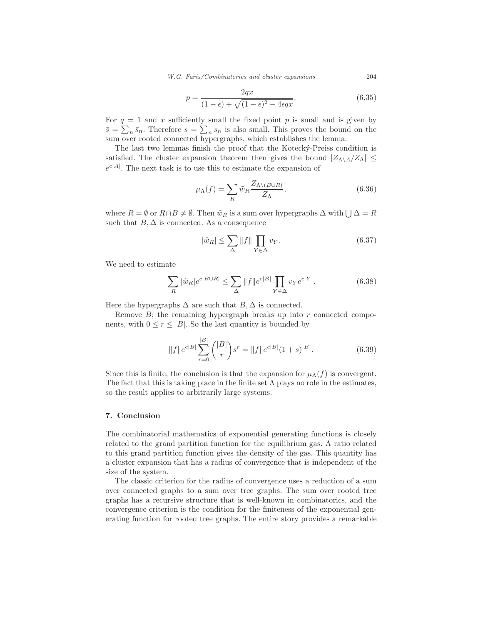W.G. Faris/Combinatorics and cluster expansions 204

$$
p = \frac{2qx}{(1 - \epsilon) + \sqrt{(1 - \epsilon)^2 - 4\epsilon qx}}.\tag{6.35}
$$

For  $q = 1$  and x sufficiently small the fixed point p is small and is given by  $\bar{s} = \sum_{n} \bar{s}_n$ . Therefore  $s = \sum_{n} s_n$  is also small. This proves the bound on the sum over rooted connected hypergraphs, which establishes the lemma.

The last two lemmas finish the proof that the Kotecky-Preiss condition is satisfied. The cluster expansion theorem then gives the bound  $|Z_{\Lambda\Lambda}Z_{\Lambda}| \leq$  $e^{c|A|}$ . The next task is to use this to estimate the expansion of

$$
\mu_{\Lambda}(f) = \sum_{R} \tilde{w}_{R} \frac{Z_{\Lambda \setminus (B \cup R)}}{Z_{\Lambda}},\tag{6.36}
$$

where  $R = \emptyset$  or  $R \cap B \neq \emptyset$ . Then  $\tilde{w}_R$  is a sum over hypergraphs  $\Delta$  with  $\bigcup \Delta = R$ such that  $B, \Delta$  is connected. As a consequence

$$
|\tilde{w}_R| \le \sum_{\Delta} ||f|| \prod_{Y \in \Delta} v_Y. \tag{6.37}
$$

We need to estimate

$$
\sum_{R} |\tilde{w}_R|e^{c|B\cup R|} \le \sum_{\Delta} ||f||e^{c|B|} \prod_{Y \in \Delta} v_Y e^{c|Y|}.\tag{6.38}
$$

Here the hypergraphs  $\Delta$  are such that  $B, \Delta$  is connected.

Remove  $B$ ; the remaining hypergraph breaks up into  $r$  connected components, with  $0 \le r \le |B|$ . So the last quantity is bounded by

$$
||f||e^{c|B|}\sum_{r=0}^{|B|} \binom{|B|}{r} s^r = ||f||e^{c|B|}(1+s)^{|B|}.
$$
\n(6.39)

Since this is finite, the conclusion is that the expansion for  $\mu_{\Lambda}(f)$  is convergent. The fact that this is taking place in the finite set  $\Lambda$  plays no role in the estimates, so the result applies to arbitrarily large systems.

# <span id="page-47-0"></span>7. Conclusion

The combinatorial mathematics of exponential generating functions is closely related to the grand partition function for the equilibrium gas. A ratio related to this grand partition function gives the density of the gas. This quantity has a cluster expansion that has a radius of convergence that is independent of the size of the system.

The classic criterion for the radius of convergence uses a reduction of a sum over connected graphs to a sum over tree graphs. The sum over rooted tree graphs has a recursive structure that is well-known in combinatorics, and the convergence criterion is the condition for the finiteness of the exponential generating function for rooted tree graphs. The entire story provides a remarkable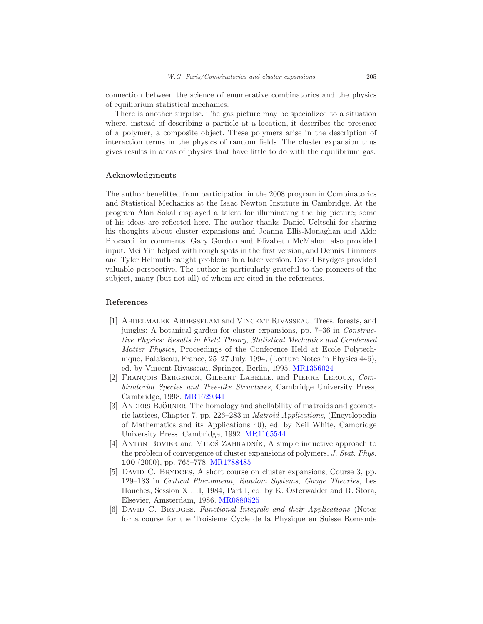connection between the science of enumerative combinatorics and the physics of equilibrium statistical mechanics.

There is another surprise. The gas picture may be specialized to a situation where, instead of describing a particle at a location, it describes the presence of a polymer, a composite object. These polymers arise in the description of interaction terms in the physics of random fields. The cluster expansion thus gives results in areas of physics that have little to do with the equilibrium gas.

# <span id="page-48-0"></span>Acknowledgments

The author benefitted from participation in the 2008 program in Combinatorics and Statistical Mechanics at the Isaac Newton Institute in Cambridge. At the program Alan Sokal displayed a talent for illuminating the big picture; some of his ideas are reflected here. The author thanks Daniel Ueltschi for sharing his thoughts about cluster expansions and Joanna Ellis-Monaghan and Aldo Procacci for comments. Gary Gordon and Elizabeth McMahon also provided input. Mei Yin helped with rough spots in the first version, and Dennis Timmers and Tyler Helmuth caught problems in a later version. David Brydges provided valuable perspective. The author is particularly grateful to the pioneers of the subject, many (but not all) of whom are cited in the references.

# <span id="page-48-6"></span><span id="page-48-1"></span>References

- [1] Abdelmalek Abdesselam and Vincent Rivasseau, Trees, forests, and jungles: A botanical garden for cluster expansions, pp. 7–36 in Constructive Physics: Results in Field Theory, Statistical Mechanics and Condensed Matter Physics, Proceedings of the Conference Held at Ecole Polytechnique, Palaiseau, France, 25–27 July, 1994, (Lecture Notes in Physics 446), ed. by Vincent Rivasseau, Springer, Berlin, 1995. [MR1356024](http://www.ams.org/mathscinet-getitem?mr=1356024)
- <span id="page-48-2"></span>[2] FRANÇOIS BERGERON, GILBERT LABELLE, and PIERRE LEROUX, Combinatorial Species and Tree-like Structures, Cambridge University Press, Cambridge, 1998. [MR1629341](http://www.ams.org/mathscinet-getitem?mr=1629341)
- <span id="page-48-7"></span>[3] ANDERS BJÖRNER, The homology and shellability of matroids and geometric lattices, Chapter 7, pp. 226–283 in Matroid Applications, (Encyclopedia of Mathematics and its Applications 40), ed. by Neil White, Cambridge University Press, Cambridge, 1992. [MR1165544](http://www.ams.org/mathscinet-getitem?mr=1165544)
- <span id="page-48-3"></span>[4] ANTON BOVIER and MILOŠ ZAHRADNÍK, A simple inductive approach to the problem of convergence of cluster expansions of polymers, J. Stat. Phys. 100 (2000), pp. 765–778. [MR1788485](http://www.ams.org/mathscinet-getitem?mr=1788485)
- <span id="page-48-4"></span>[5] David C. Brydges, A short course on cluster expansions, Course 3, pp. 129–183 in Critical Phenomena, Random Systems, Gauge Theories, Les Houches, Session XLIII, 1984, Part I, ed. by K. Osterwalder and R. Stora, Elsevier, Amsterdam, 1986. [MR0880525](http://www.ams.org/mathscinet-getitem?mr=0880525)
- <span id="page-48-5"></span>[6] David C. Brydges, Functional Integrals and their Applications (Notes for a course for the Troisieme Cycle de la Physique en Suisse Romande